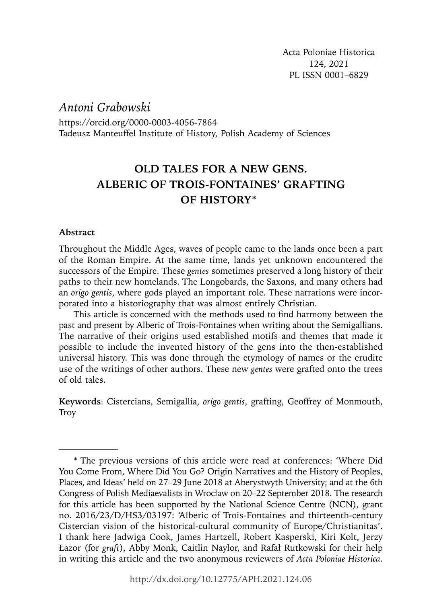*Antoni Grabowski*

https://orcid.org/0000-0003-4056-7864 Tadeusz Manteuffel Institute of History, Polish Academy of Sciences

# **OLD TALES FOR A NEW GENS. ALBERIC OF TROIS-FONTAINES' GRAFTING OF HISTORY\***

### **Abstract**

Throughout the Middle Ages, waves of people came to the lands once been a part of the Roman Empire. At the same time, lands yet unknown encountered the successors of the Empire. These *gentes* sometimes preserved a long history of their paths to their new homelands. The Longobards, the Saxons, and many others had an *origo gentis*, where gods played an important role. These narrations were incorporated into a historiography that was almost entirely Christian.

This article is concerned with the methods used to find harmony between the past and present by Alberic of Trois-Fontaines when writing about the Semigallians. The narrative of their origins used established motifs and themes that made it possible to include the invented history of the gens into the then-established universal history. This was done through the etymology of names or the erudite use of the writings of other authors. These new *gentes* were grafted onto the trees of old tales.

**Keywords**: Cistercians, Semigallia, *origo gentis*, grafting, Geoffrey of Monmouth, **Troy** 

<sup>\*</sup> The previous versions of this article were read at conferences: 'Where Did You Come From, Where Did You Go? Origin Narratives and the History of Peoples, Places, and Ideas' held on 27–29 June 2018 at Aberystwyth University; and at the 6th Congress of Polish Mediaevalists in Wrocław on 20–22 September 2018. The research for this article has been supported by the National Science Centre (NCN), grant no. 2016/23/D/HS3/03197: 'Alberic of Trois-Fontaines and thirteenth-century Cistercian vision of the historical-cultural community of Europe/Christianitas'. I thank here Jadwiga Cook, James Hartzell, Robert Kasperski, Kiri Kolt, Jerzy Łazor (for *graft*), Abby Monk, Caitlin Naylor, and Rafał Rutkowski for their help in writing this article and the two anonymous reviewers of *Acta Poloniae Historica*.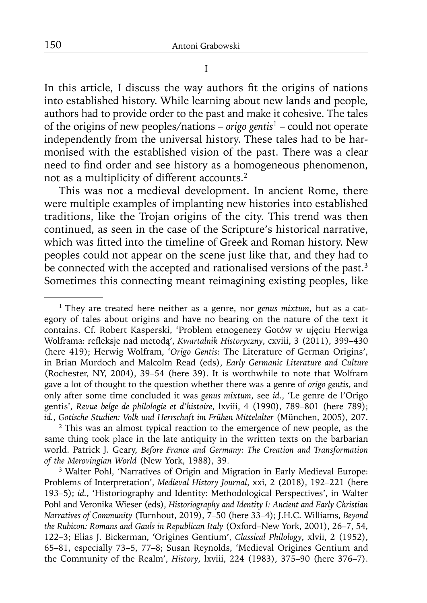I

In this article, I discuss the way authors fit the origins of nations into established history. While learning about new lands and people, authors had to provide order to the past and make it cohesive. The tales of the origins of new peoples/nations – *origo gentis*1 – could not operate independently from the universal history. These tales had to be harmonised with the established vision of the past. There was a clear need to find order and see history as a homogeneous phenomenon, not as a multiplicity of different accounts.2

This was not a medieval development. In ancient Rome, there were multiple examples of implanting new histories into established traditions, like the Trojan origins of the city. This trend was then continued, as seen in the case of the Scripture's historical narrative, which was fitted into the timeline of Greek and Roman history. New peoples could not appear on the scene just like that, and they had to be connected with the accepted and rationalised versions of the past.<sup>3</sup> Sometimes this connecting meant reimagining existing peoples, like

<sup>1</sup> They are treated here neither as a genre, nor *genus mixtum*, but as a category of tales about origins and have no bearing on the nature of the text it contains. Cf. Robert Kasperski, 'Problem etnogenezy Gotów w ujęciu Herwiga Wolframa: refleksje nad metodą', *Kwartalnik Historyczny*, cxviii, 3 (2011), 399-430 (here 419); Herwig Wolfram, '*Origo Gentis*: The Literature of German Origins', in Brian Murdoch and Malcolm Read (eds), *Early Germanic Literature and Culture* (Rochester, NY, 2004), 39–54 (here 39). It is worthwhile to note that Wolfram gave a lot of thought to the question whether there was a genre of *origo gentis*, and only after some time concluded it was *genus mixtum*, see *id.*, 'Le genre de l'Origo gentis', *Revue belge de philologie et d'histoire*, lxviii, 4 (1990), 789–801 (here 789); *id.*, *Gotische Studien: Volk und Herrschaft im Frühen Mittelalter* (München, 2005), 207.

<sup>&</sup>lt;sup>2</sup> This was an almost typical reaction to the emergence of new people, as the same thing took place in the late antiquity in the written texts on the barbarian world. Patrick J. Geary, *Before France and Germany: The Creation and Transformation of the Merovingian World* (New York, 1988), 39.

<sup>&</sup>lt;sup>3</sup> Walter Pohl, 'Narratives of Origin and Migration in Early Medieval Europe: Problems of Interpretation', *Medieval History Journal*, xxi, 2 (2018), 192–221 (here 193–5); *id.*, 'Historiography and Identity: Methodological Perspectives', in Walter Pohl and Veronika Wieser (eds), *Historiography and Identity I: Ancient and Early Christian Narratives of Community* (Turnhout, 2019), 7–50 (here 33–4); J.H.C. Williams, *Beyond the Rubicon: Romans and Gauls in Republican Italy* (Oxford–New York, 2001), 26–7, 54, 122–3; Elias J. Bickerman, 'Origines Gentium', *Classical Philology*, xlvii, 2 (1952), 65–81, especially 73–5, 77–8; Susan Reynolds, 'Medieval Origines Gentium and the Community of the Realm', *History*, lxviii, 224 (1983), 375–90 (here 376–7).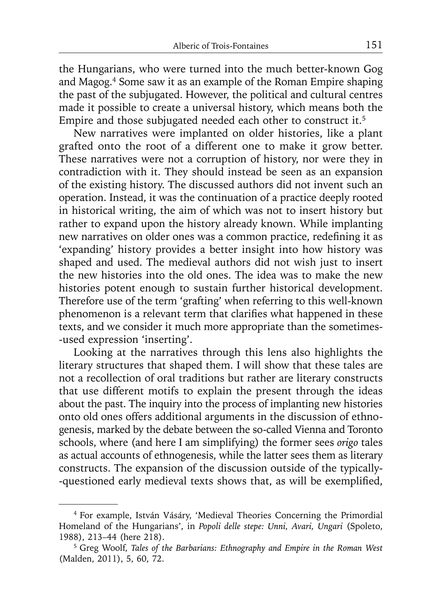the Hungarians, who were turned into the much better-known Gog and Magog.4 Some saw it as an example of the Roman Empire shaping the past of the subjugated. However, the political and cultural centres made it possible to create a universal history, which means both the Empire and those subjugated needed each other to construct it.<sup>5</sup>

New narratives were implanted on older histories, like a plant grafted onto the root of a different one to make it grow better. These narratives were not a corruption of history, nor were they in contradiction with it. They should instead be seen as an expansion of the existing history. The discussed authors did not invent such an operation. Instead, it was the continuation of a practice deeply rooted in historical writing, the aim of which was not to insert history but rather to expand upon the history already known. While implanting new narratives on older ones was a common practice, redefining it as 'expanding' history provides a better insight into how history was shaped and used. The medieval authors did not wish just to insert the new histories into the old ones. The idea was to make the new histories potent enough to sustain further historical development. Therefore use of the term 'grafting' when referring to this well-known phenomenon is a relevant term that clarifies what happened in these texts, and we consider it much more appropriate than the sometimes- -used expression 'inserting'.

Looking at the narratives through this lens also highlights the literary structures that shaped them. I will show that these tales are not a recollection of oral traditions but rather are literary constructs that use different motifs to explain the present through the ideas about the past. The inquiry into the process of implanting new histories onto old ones offers additional arguments in the discussion of ethnogenesis, marked by the debate between the so-called Vienna and Toronto schools, where (and here I am simplifying) the former sees *origo* tales as actual accounts of ethnogenesis, while the latter sees them as literary constructs. The expansion of the discussion outside of the typically- -questioned early medieval texts shows that, as will be exemplified,

<sup>4</sup> For example, István Vásáry, 'Medieval Theories Concerning the Primordial Homeland of the Hungarians', in *Popoli delle stepe: Unni, Avari, Ungari* (Spoleto, 1988), 213–44 (here 218).

<sup>5</sup> Greg Woolf, *Tales of the Barbarians: Ethnography and Empire in the Roman West* (Malden, 2011), 5, 60, 72.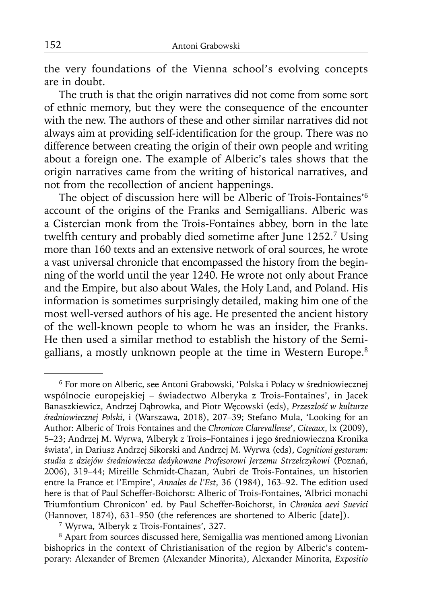the very foundations of the Vienna school's evolving concepts are in doubt.

The truth is that the origin narratives did not come from some sort of ethnic memory, but they were the consequence of the encounter with the new. The authors of these and other similar narratives did not always aim at providing self-identification for the group. There was no difference between creating the origin of their own people and writing about a foreign one. The example of Alberic's tales shows that the origin narratives came from the writing of historical narratives, and not from the recollection of ancient happenings.

The object of discussion here will be Alberic of Trois-Fontaines'6 account of the origins of the Franks and Semigallians. Alberic was a Cistercian monk from the Trois-Fontaines abbey, born in the late twelfth century and probably died sometime after June 1252.7 Using more than 160 texts and an extensive network of oral sources, he wrote a vast universal chronicle that encompassed the history from the beginning of the world until the year 1240. He wrote not only about France and the Empire, but also about Wales, the Holy Land, and Poland. His information is sometimes surprisingly detailed, making him one of the most well-versed authors of his age. He presented the ancient history of the well-known people to whom he was an insider, the Franks. He then used a similar method to establish the history of the Semigallians, a mostly unknown people at the time in Western Europe.<sup>8</sup>

<sup>6</sup> For more on Alberic, see Antoni Grabowski, 'Polska i Polacy w średniowiecznej wspólnocie europejskiej – świadectwo Alberyka z Trois-Fontaines', in Jacek Banaszkiewicz, Andrzej Dąbrowka, and Piotr Węcowski (eds), *Przeszłość w kulturze średniowiecznej Polski*, i (Warszawa, 2018), 207–39; Stefano Mula, 'Looking for an Author: Alberic of Trois Fontaines and the *Chronicon Clarevallense*', *Citeaux*, lx (2009), 5–23; Andrzej M. Wyrwa, 'Alberyk z Trois–Fontaines i jego średniowieczna Kronika świata', in Dariusz Andrzej Sikorski and Andrzej M. Wyrwa (eds), *Cognitioni gestorum: studia z dziejów średniowiecza dedykowane Profesorowi Jerzemu Strzelczykowi* (Poznań, 2006), 319–44; Mireille Schmidt-Chazan, 'Aubri de Trois-Fontaines, un historien entre la France et l'Empire', *Annales de l'Est*, 36 (1984), 163–92. The edition used here is that of Paul Scheffer-Boichorst: Alberic of Trois-Fontaines, 'Albrici monachi Triumfontium Chronicon' ed. by Paul Scheffer-Boichorst, in *Chronica aevi Suevici* (Hannover, 1874), 631–950 (the references are shortened to Alberic [date]).

<sup>7</sup> Wyrwa, 'Alberyk z Trois-Fontaines', 327.

<sup>8</sup> Apart from sources discussed here, Semigallia was mentioned among Livonian bishoprics in the context of Christianisation of the region by Alberic's contemporary: Alexander of Bremen (Alexander Minorita), Alexander Minorita, *Expositio*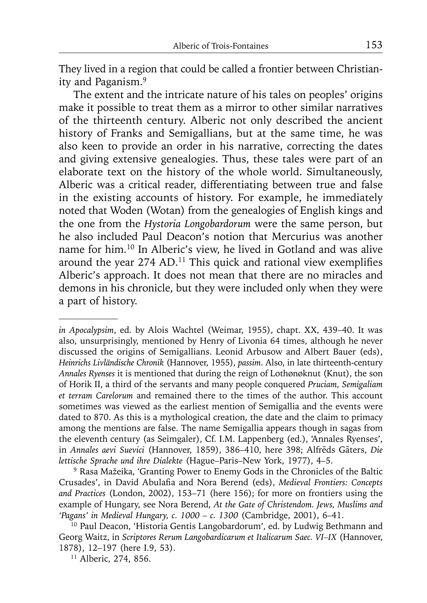They lived in a region that could be called a frontier between Christianity and Paganism.9

The extent and the intricate nature of his tales on peoples' origins make it possible to treat them as a mirror to other similar narratives of the thirteenth century. Alberic not only described the ancient history of Franks and Semigallians, but at the same time, he was also keen to provide an order in his narrative, correcting the dates and giving extensive genealogies. Thus, these tales were part of an elaborate text on the history of the whole world. Simultaneously, Alberic was a critical reader, differentiating between true and false in the existing accounts of history. For example, he immediately noted that Woden (Wotan) from the genealogies of English kings and the one from the *Hystoria Longobardorum* were the same person, but he also included Paul Deacon's notion that Mercurius was another name for him.10 In Alberic's view, he lived in Gotland and was alive around the year  $274$  AD.<sup>11</sup> This quick and rational view exemplifies Alberic's approach. It does not mean that there are no miracles and demons in his chronicle, but they were included only when they were a part of history.

9 Rasa Mažeika, 'Granting Power to Enemy Gods in the Chronicles of the Baltic Crusades', in David Abulafia and Nora Berend (eds), *Medieval Frontiers: Concepts and Practices* (London, 2002), 153–71 (here 156); for more on frontiers using the example of Hungary, see Nora Berend, *At the Gate of Christendom. Jews, Muslims and 'Pagans' in Medieval Hungary, c. 1000 – c. 1300* (Cambridge, 2001), 6–41.

*in Apocalypsim*, ed. by Alois Wachtel (Weimar, 1955), chapt. XX, 439–40. It was also, unsurprisingly, mentioned by Henry of Livonia 64 times, although he never discussed the origins of Semigallians. Leonid Arbusow and Albert Bauer (eds), *Heinrichs Livländische Chronik* (Hannover, 1955), *passim*. Also, in late thirteenth-century *Annales Ryenses* it is mentioned that during the reign of Lothønøknut (Knut), the son of Horik II, a third of the servants and many people conquered *Pruciam, Semigaliam et terram Carelorum* and remained there to the times of the author. This account sometimes was viewed as the earliest mention of Semigallia and the events were dated to 870. As this is a mythological creation, the date and the claim to primacy among the mentions are false. The name Semigallia appears though in sagas from the eleventh century (as Seimgaler), Cf. I.M. Lappenberg (ed.), 'Annales Ryenses', in *Annales aevi Suevici* (Hannover, 1859), 386–410, here 398; Alfrēds Gāters, *Die lettische Sprache und ihre Dialekte* (Hague–Paris–New York, 1977), 4–5.

<sup>&</sup>lt;sup>10</sup> Paul Deacon, 'Historia Gentis Langobardorum', ed. by Ludwig Bethmann and Georg Waitz, in *Scriptores Rerum Langobardicarum et Italicarum Saec. VI–IX* (Hannover, 1878), 12–197 (here I.9, 53).

<sup>11</sup> Alberic, 274, 856.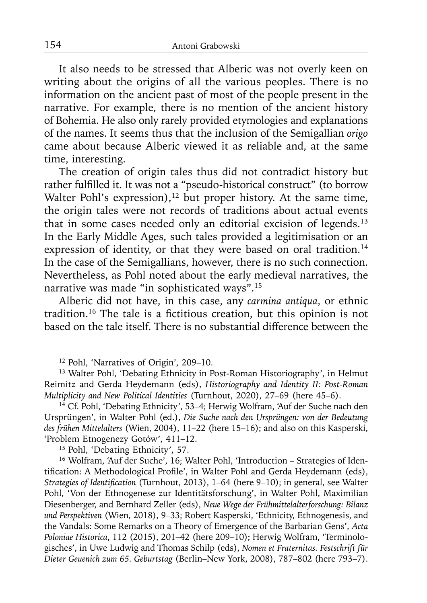It also needs to be stressed that Alberic was not overly keen on writing about the origins of all the various peoples. There is no information on the ancient past of most of the people present in the narrative. For example, there is no mention of the ancient history of Bohemia. He also only rarely provided etymologies and explanations of the names. It seems thus that the inclusion of the Semigallian *origo* came about because Alberic viewed it as reliable and, at the same time, interesting.

The creation of origin tales thus did not contradict history but rather fulfilled it. It was not a "pseudo-historical construct" (to borrow Walter Pohl's expression),<sup>12</sup> but proper history. At the same time, the origin tales were not records of traditions about actual events that in some cases needed only an editorial excision of legends.<sup>13</sup> In the Early Middle Ages, such tales provided a legitimisation or an expression of identity, or that they were based on oral tradition.<sup>14</sup> In the case of the Semigallians, however, there is no such connection. Nevertheless, as Pohl noted about the early medieval narratives, the narrative was made "in sophisticated ways".15

Alberic did not have, in this case, any *carmina antiqua*, or ethnic tradition.<sup>16</sup> The tale is a fictitious creation, but this opinion is not based on the tale itself. There is no substantial difference between the

<sup>15</sup> Pohl, 'Debating Ethnicity', 57.

<sup>16</sup> Wolfram, 'Auf der Suche', 16; Walter Pohl, 'Introduction – Strategies of Identification: A Methodological Profile', in Walter Pohl and Gerda Heydemann (eds), *Strategies of Identification* (Turnhout, 2013), 1–64 (here 9–10); in general, see Walter Pohl, 'Von der Ethnogenese zur Identitätsforschung', in Walter Pohl, Maximilian Diesenberger, and Bernhard Zeller (eds), *Neue Wege der Frühmittelalterforschung: Bilanz und Perspektiven* (Wien, 2018), 9–33; Robert Kasperski, 'Ethnicity, Ethnogenesis, and the Vandals: Some Remarks on a Theory of Emergence of the Barbarian Gens', *Acta Poloniae Historica*, 112 (2015), 201–42 (here 209–10); Herwig Wolfram, 'Terminologisches', in Uwe Ludwig and Thomas Schilp (eds), *Nomen et Fraternitas. Festschrift für Dieter Geuenich zum 65. Geburtstag* (Berlin–New York, 2008), 787–802 (here 793–7).

<sup>12</sup> Pohl, 'Narratives of Origin', 209–10.

<sup>&</sup>lt;sup>13</sup> Walter Pohl, 'Debating Ethnicity in Post-Roman Historiography', in Helmut Reimitz and Gerda Heydemann (eds), *Historiography and Identity II: Post-Roman Multiplicity and New Political Identities* (Turnhout, 2020), 27–69 (here 45–6).

<sup>&</sup>lt;sup>14</sup> Cf. Pohl, 'Debating Ethnicity', 53-4; Herwig Wolfram, 'Auf der Suche nach den Ursprüngen', in Walter Pohl (ed.), *Die Suche nach den Ursprüngen: von der Bedeutung des frühen Mittelalters* (Wien, 2004), 11–22 (here 15–16); and also on this Kasperski, 'Problem Etnogenezy Gotów', 411–12.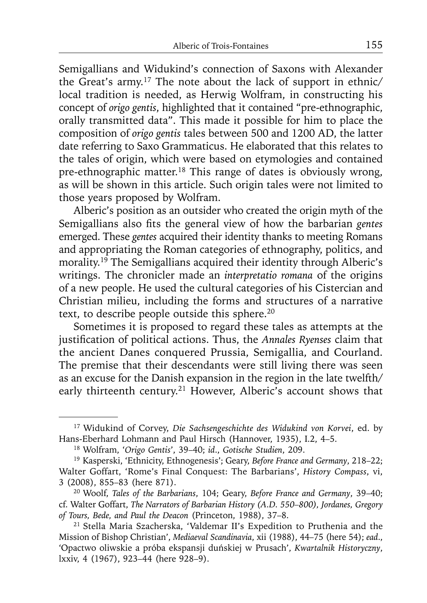Semigallians and Widukind's connection of Saxons with Alexander the Great's army.17 The note about the lack of support in ethnic/ local tradition is needed, as Herwig Wolfram, in constructing his concept of *origo gentis*, highlighted that it contained "pre-ethnographic, orally transmitted data". This made it possible for him to place the composition of *origo gentis* tales between 500 and 1200 AD, the latter date referring to Saxo Grammaticus. He elaborated that this relates to the tales of origin, which were based on etymologies and contained pre-ethnographic matter.18 This range of dates is obviously wrong, as will be shown in this article. Such origin tales were not limited to those years proposed by Wolfram.

Alberic's position as an outsider who created the origin myth of the Semigallians also fits the general view of how the barbarian *gentes* emerged. These *gentes* acquired their identity thanks to meeting Romans and appropriating the Roman categories of ethnography, politics, and morality.19 The Semigallians acquired their identity through Alberic's writings. The chronicler made an *interpretatio romana* of the origins of a new people. He used the cultural categories of his Cistercian and Christian milieu, including the forms and structures of a narrative text, to describe people outside this sphere.<sup>20</sup>

Sometimes it is proposed to regard these tales as attempts at the justification of political actions. Thus, the *Annales Ryenses* claim that the ancient Danes conquered Prussia, Semigallia, and Courland. The premise that their descendants were still living there was seen as an excuse for the Danish expansion in the region in the late twelfth/ early thirteenth century.<sup>21</sup> However, Alberic's account shows that

<sup>17</sup> Widukind of Corvey, *Die Sachsengeschichte des Widukind von Korvei*, ed. by Hans-Eberhard Lohmann and Paul Hirsch (Hannover, 1935), I.2, 4–5.

<sup>18</sup> Wolfram, '*Origo Gentis*', 39–40; *id*., *Gotische Studien*, 209.

<sup>19</sup> Kasperski, 'Ethnicity, Ethnogenesis'; Geary, *Before France and Germany*, 218–22; Walter Goffart, 'Rome's Final Conquest: The Barbarians', *History Compass*, vi, 3 (2008), 855–83 (here 871).

<sup>20</sup> Woolf, *Tales of the Barbarians*, 104; Geary, *Before France and Germany*, 39–40; cf. Walter Goffart, *The Narrators of Barbarian History (A.D. 550–800), Jordanes, Gregory of Tours, Bede, and Paul the Deacon* (Princeton, 1988), 37–8.

<sup>21</sup> Stella Maria Szacherska, 'Valdemar II's Expedition to Pruthenia and the Mission of Bishop Christian', *Mediaeval Scandinavia*, xii (1988), 44–75 (here 54); *ead*., 'Opactwo oliwskie a próba ekspansji duńskiej w Prusach', *Kwartalnik Historyczny*, lxxiv, 4 (1967), 923–44 (here 928–9).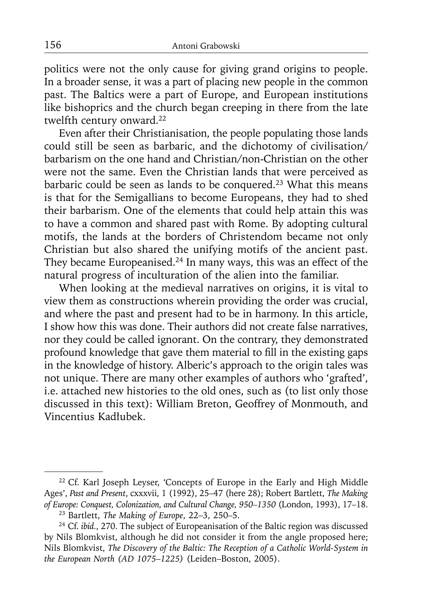politics were not the only cause for giving grand origins to people. In a broader sense, it was a part of placing new people in the common past. The Baltics were a part of Europe, and European institutions like bishoprics and the church began creeping in there from the late twelfth century onward.<sup>22</sup>

Even after their Christianisation, the people populating those lands could still be seen as barbaric, and the dichotomy of civilisation/ barbarism on the one hand and Christian/non-Christian on the other were not the same. Even the Christian lands that were perceived as barbaric could be seen as lands to be conquered.23 What this means is that for the Semigallians to become Europeans, they had to shed their barbarism. One of the elements that could help attain this was to have a common and shared past with Rome. By adopting cultural motifs, the lands at the borders of Christendom became not only Christian but also shared the unifying motifs of the ancient past. They became Europeanised.<sup>24</sup> In many ways, this was an effect of the natural progress of inculturation of the alien into the familiar.

When looking at the medieval narratives on origins, it is vital to view them as constructions wherein providing the order was crucial, and where the past and present had to be in harmony. In this article, I show how this was done. Their authors did not create false narratives, nor they could be called ignorant. On the contrary, they demonstrated profound knowledge that gave them material to fill in the existing gaps in the knowledge of history. Alberic's approach to the origin tales was not unique. There are many other examples of authors who 'grafted', i.e. attached new histories to the old ones, such as (to list only those discussed in this text): William Breton, Geoffrey of Monmouth, and Vincentius Kadłubek.

<sup>&</sup>lt;sup>22</sup> Cf. Karl Joseph Leyser, 'Concepts of Europe in the Early and High Middle Ages', *Past and Present*, cxxxvii, 1 (1992), 25–47 (here 28); Robert Bartlett, *The Making of Europe: Conquest, Colonization, and Cultural Change, 950–1350* (London, 1993), 17–18.

<sup>23</sup> Bartlett, *The Making of Europe*, 22–3, 250–5.

<sup>24</sup> Cf. *ibid.*, 270. The subject of Europeanisation of the Baltic region was discussed by Nils Blomkvist, although he did not consider it from the angle proposed here; Nils Blomkvist, *The Discovery of the Baltic: The Reception of a Catholic World-System in the European North (AD 1075*–*1225)* (Leiden–Boston, 2005).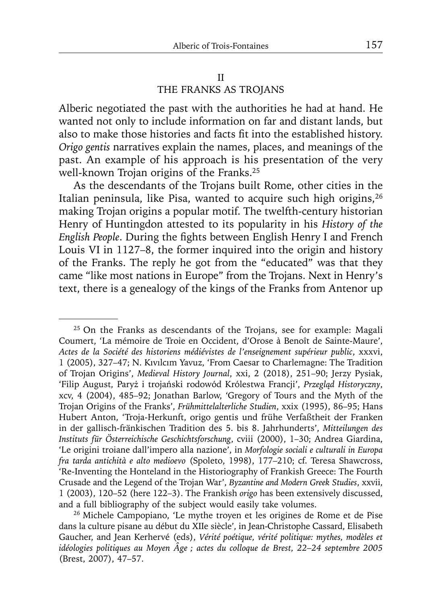# II THE FRANKS AS TROJANS

Alberic negotiated the past with the authorities he had at hand. He wanted not only to include information on far and distant lands, but also to make those histories and facts fit into the established history. *Origo gentis* narratives explain the names, places, and meanings of the past. An example of his approach is his presentation of the very well-known Trojan origins of the Franks.<sup>25</sup>

As the descendants of the Trojans built Rome, other cities in the Italian peninsula, like Pisa, wanted to acquire such high origins,<sup>26</sup> making Trojan origins a popular motif. The twelfth-century historian Henry of Huntingdon attested to its popularity in his *History of the English People*. During the fights between English Henry I and French Louis VI in 1127–8, the former inquired into the origin and history of the Franks. The reply he got from the "educated" was that they came "like most nations in Europe" from the Trojans. Next in Henry's text, there is a genealogy of the kings of the Franks from Antenor up

<sup>&</sup>lt;sup>25</sup> On the Franks as descendants of the Trojans, see for example: Magali Coumert, 'La mémoire de Troie en Occident, d'Orose à Benoît de Sainte-Maure', *Actes de la Société des historiens médiévistes de l'enseignement supérieur public*, xxxvi, 1 (2005), 327–47; N. Kıvılcım Yavuz, 'From Caesar to Charlemagne: The Tradition of Trojan Origins', *Medieval History Journal*, xxi, 2 (2018), 251–90; Jerzy Pysiak, 'Filip August, Paryż i trojański rodowód Królestwa Francji', *Przegląd Historyczny*, xcv, 4 (2004), 485–92; Jonathan Barlow, 'Gregory of Tours and the Myth of the Trojan Origins of the Franks', *Frühmittelalterliche Studien*, xxix (1995), 86–95; Hans Hubert Anton, 'Troja-Herkunft, origo gentis und frühe Verfaßtheit der Franken in der gallisch-fränkischen Tradition des 5. bis 8. Jahrhunderts', *Mitteilungen des Instituts für Österreichische Geschichtsforschung*, cviii (2000), 1–30; Andrea Giardina, 'Le origini troiane dall'impero alla nazione', in *Morfologie sociali e culturali in Europa fra tarda antichità e alto medioevo* (Spoleto, 1998), 177–210; cf. Teresa Shawcross, 'Re-Inventing the Honteland in the Historiography of Frankish Greece: The Fourth Crusade and the Legend of the Trojan War', *Byzantine and Modern Greek Studies*, xxvii, 1 (2003), 120–52 (here 122–3). The Frankish *origo* has been extensively discussed, and a full bibliography of the subject would easily take volumes.

<sup>26</sup> Michele Campopiano, 'Le mythe troyen et les origines de Rome et de Pise dans la culture pisane au début du XIIe siècle', in Jean-Christophe Cassard, Elisabeth Gaucher, and Jean Kerhervé (eds), *Vérité poétique, vérité politique: mythes, modèles et idéologies politiques au Moyen Âge ; actes du colloque de Brest, 22*–*24 septembre 2005* (Brest, 2007), 47–57.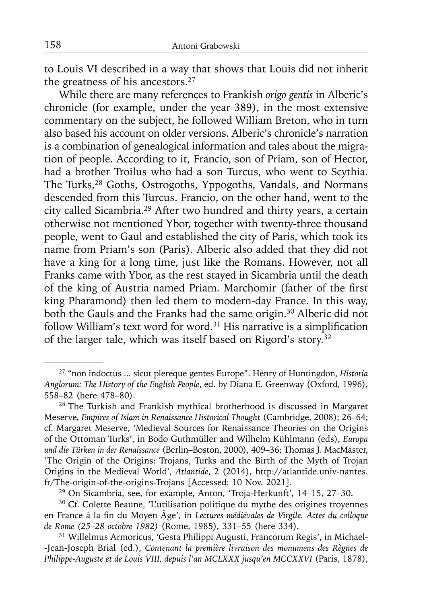to Louis VI described in a way that shows that Louis did not inherit the greatness of his ancestors.27

While there are many references to Frankish *origo gentis* in Alberic's chronicle (for example, under the year 389), in the most extensive commentary on the subject, he followed William Breton, who in turn also based his account on older versions. Alberic's chronicle's narration is a combination of genealogical information and tales about the migration of people. According to it, Francio, son of Priam, son of Hector, had a brother Troilus who had a son Turcus, who went to Scythia. The Turks,<sup>28</sup> Goths, Ostrogoths, Yppogoths, Vandals, and Normans descended from this Turcus. Francio, on the other hand, went to the city called Sicambria.29 After two hundred and thirty years, a certain otherwise not mentioned Ybor, together with twenty-three thousand people, went to Gaul and established the city of Paris, which took its name from Priam's son (Paris). Alberic also added that they did not have a king for a long time, just like the Romans. However, not all Franks came with Ybor, as the rest stayed in Sicambria until the death of the king of Austria named Priam. Marchomir (father of the first king Pharamond) then led them to modern-day France. In this way, both the Gauls and the Franks had the same origin.30 Alberic did not follow William's text word for word. $31$  His narrative is a simplification of the larger tale, which was itself based on Rigord's story.<sup>32</sup>

<sup>27 &</sup>quot;non indoctus ... sicut plereque gentes Europe". Henry of Huntingdon, *Historia Anglorum: The History of the English People*, ed. by Diana E. Greenway (Oxford, 1996), 558–82 (here 478–80).

<sup>&</sup>lt;sup>28</sup> The Turkish and Frankish mythical brotherhood is discussed in Margaret Meserve, *Empires of Islam in Renaissance Historical Thought* (Cambridge, 2008); 26–64; cf. Margaret Meserve, 'Medieval Sources for Renaissance Theories on the Origins of the Ottoman Turks', in Bodo Guthmüller and Wilhelm Kühlmann (eds), *Europa und die Türken in der Renaissance* (Berlin–Boston, 2000), 409–36; Thomas J. MacMaster, 'The Origin of the Origins: Trojans, Turks and the Birth of the Myth of Trojan Origins in the Medieval World', *Atlantide*, 2 (2014), http://atlantide.univ-nantes. fr/The-origin-of-the-origins-Trojans [Accessed: 10 Nov. 2021].

<sup>29</sup> On Sicambria, see, for example, Anton, 'Troja-Herkunft', 14–15, 27–30.

<sup>30</sup> Cf. Colette Beaune, 'L'utilisation politique du mythe des origines troyennes en France à la fin du Moyen Âge', in *Lectures médiévales de Virgile. Actes du colloque de Rome (25*–*28 octobre 1982)* (Rome, 1985), 331–55 (here 334).

<sup>31</sup> Willelmus Armoricus, 'Gesta Philippi Augusti, Francorum Regis', in Michael- -Jean-Joseph Brial (ed.), *Contenant la première livraison des monumens des Règnes de Philippe-Auguste et de Louis VIII, depuis l'an MCLXXX jusqu'en MCCXXVI* (Paris, 1878),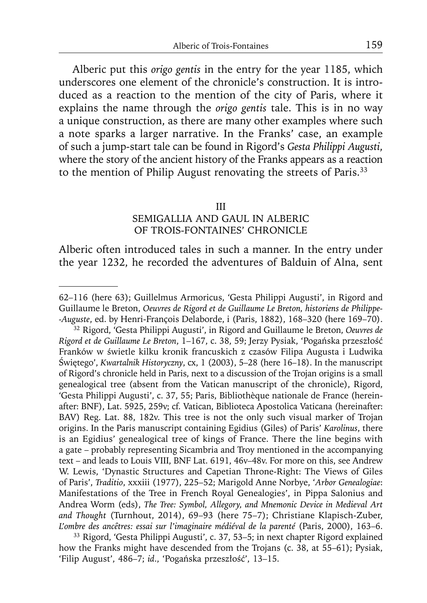32Alberic put this *origo gentis* in the entry for the year 1185, which underscores one element of the chronicle's construction. It is introduced as a reaction to the mention of the city of Paris, where it explains the name through the *origo gentis* tale. This is in no way a unique construction, as there are many other examples where such a note sparks a larger narrative. In the Franks' case, an example of such a jump-start tale can be found in Rigord's *Gesta Philippi Augusti*, where the story of the ancient history of the Franks appears as a reaction to the mention of Philip August renovating the streets of Paris.<sup>33</sup>

#### III

# SEMIGALLIA AND GAUL IN ALBERIC OF TROIS-FONTAINES' CHRONICLE

Alberic often introduced tales in such a manner. In the entry under the year 1232, he recorded the adventures of Balduin of Alna, sent

<sup>62–116 (</sup>here 63); Guillelmus Armoricus, 'Gesta Philippi Augusti', in Rigord and Guillaume le Breton, *Oeuvres de Rigord et de Guillaume Le Breton, historiens de Philippe- -Auguste*, ed. by Henri-François Delaborde, i (Paris, 1882), 168–320 (here 169–70).

<sup>32</sup> Rigord, 'Gesta Philippi Augusti', in Rigord and Guillaume le Breton, *Oeuvres de Rigord et de Guillaume Le Breton*, 1–167, c. 38, 59; Jerzy Pysiak, 'Pogańska przeszłość Franków w świetle kilku kronik francuskich z czasów Filipa Augusta i Ludwika Świętego', *Kwartalnik Historyczny*, cx, 1 (2003), 5–28 (here 16–18). In the manuscript of Rigord's chronicle held in Paris, next to a discussion of the Trojan origins is a small genealogical tree (absent from the Vatican manuscript of the chronicle), Rigord, 'Gesta Philippi Augusti', c. 37, 55; Paris, Bibliothèque nationale de France (hereinafter: BNF), Lat. 5925, 259v; cf. Vatican, Biblioteca Apostolica Vaticana (hereinafter: BAV) Reg. Lat. 88, 182v. This tree is not the only such visual marker of Trojan origins. In the Paris manuscript containing Egidius (Giles) of Paris' *Karolinus*, there is an Egidius' genealogical tree of kings of France. There the line begins with a gate – probably representing Sicambria and Troy mentioned in the accompanying text – and leads to Louis VIII, BNF Lat. 6191, 46v–48v. For more on this, see Andrew W. Lewis, 'Dynastic Structures and Capetian Throne-Right: The Views of Giles of Paris', *Traditio*, xxxiii (1977), 225–52; Marigold Anne Norbye, '*Arbor Genealogiae*: Manifestations of the Tree in French Royal Genealogies', in Pippa Salonius and Andrea Worm (eds), *The Tree: Symbol, Allegory, and Mnemonic Device in Medieval Art and Thought* (Turnhout, 2014), 69–93 (here 75–7); Christiane Klapisch-Zuber, *L'ombre des ancêtres: essai sur l'imaginaire médiéval de la parenté* (Paris, 2000), 163–6.

<sup>33</sup> Rigord, 'Gesta Philippi Augusti', c. 37, 53–5; in next chapter Rigord explained how the Franks might have descended from the Trojans (c. 38, at 55–61); Pysiak, 'Filip August', 486–7; *id*., 'Pogańska przeszłość', 13–15.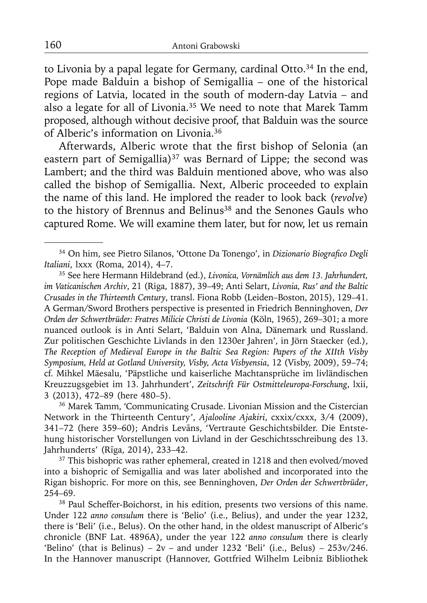to Livonia by a papal legate for Germany, cardinal Otto.<sup>34</sup> In the end, Pope made Balduin a bishop of Semigallia – one of the historical regions of Latvia, located in the south of modern-day Latvia – and also a legate for all of Livonia.<sup>35</sup> We need to note that Marek Tamm proposed, although without decisive proof, that Balduin was the source of Alberic's information on Livonia.36

Afterwards, Alberic wrote that the first bishop of Selonia (an eastern part of Semigallia)<sup>37</sup> was Bernard of Lippe; the second was Lambert; and the third was Balduin mentioned above, who was also called the bishop of Semigallia. Next, Alberic proceeded to explain the name of this land. He implored the reader to look back (*revolve*) to the history of Brennus and Belinus<sup>38</sup> and the Senones Gauls who captured Rome. We will examine them later, but for now, let us remain

36 Marek Tamm, 'Communicating Crusade. Livonian Mission and the Cistercian Network in the Thirteenth Century', *Ajalooline Ajakiri*, cxxix/cxxx, 3/4 (2009), 341–72 (here 359–60); Andris Levāns, 'Vertraute Geschichtsbilder. Die Entstehung historischer Vorstellungen von Livland in der Geschichtsschreibung des 13. Jahrhunderts' (Rīga, 2014), 233–42.

<sup>37</sup> This bishopric was rather ephemeral, created in 1218 and then evolved/moved into a bishopric of Semigallia and was later abolished and incorporated into the Rigan bishopric. For more on this, see Benninghoven, *Der Orden der Schwertbrüder*, 254–69.

38 Paul Scheffer-Boichorst, in his edition, presents two versions of this name. Under 122 *anno consulum* there is 'Belio' (i.e., Belius), and under the year 1232, there is 'Beli' (i.e., Belus). On the other hand, in the oldest manuscript of Alberic's chronicle (BNF Lat. 4896A), under the year 122 *anno consulum* there is clearly 'Belino' (that is Belinus) –  $2v$  – and under 1232 'Beli' (i.e., Belus) –  $253v/246$ . In the Hannover manuscript (Hannover, Gottfried Wilhelm Leibniz Bibliothek

<sup>&</sup>lt;sup>34</sup> On him, see Pietro Silanos, 'Ottone Da Tonengo', in *Dizionario Biografico Degli Italiani*, lxxx (Roma, 2014), 4–7.

<sup>35</sup> See here Hermann Hildebrand (ed.), *Livonica, Vornämlich aus dem 13. Jahrhundert, im Vaticanischen Archiv*, 21 (Riga, 1887), 39–49; Anti Selart, *Livonia, Rus' and the Baltic Crusades in the Thirteenth Century*, transl. Fiona Robb (Leiden–Boston, 2015), 129–41. A German/Sword Brothers perspective is presented in Friedrich Benninghoven, *Der Orden der Schwertbrüder: Fratres Milicie Christi de Livonia* (Köln, 1965), 269–301; a more nuanced outlook is in Anti Selart, 'Balduin von Alna, Dänemark und Russland. Zur politischen Geschichte Livlands in den 1230er Jahren', in Jörn Staecker (ed.), *The Reception of Medieval Europe in the Baltic Sea Region: Papers of the XIIth Visby Symposium, Held at Gotland University, Visby, Acta Visbyensia*, 12 (Visby, 2009), 59–74; cf. Mihkel Mäesalu, 'Päpstliche und kaiserliche Machtansprüche im livländischen Kreuzzugsgebiet im 13. Jahrhundert', *Zeitschrift Für Ostmitteleuropa-Forschung*, lxii, 3 (2013), 472–89 (here 480–5).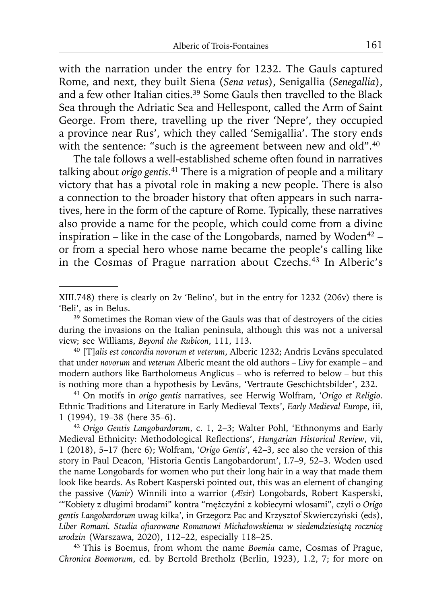with the narration under the entry for 1232. The Gauls captured Rome, and next, they built Siena (*Sena vetus*), Senigallia (*Senegallia*), and a few other Italian cities.39 Some Gauls then travelled to the Black Sea through the Adriatic Sea and Hellespont, called the Arm of Saint George. From there, travelling up the river 'Nepre', they occupied a province near Rus', which they called 'Semigallia'. The story ends with the sentence: "such is the agreement between new and old".<sup>40</sup>

The tale follows a well-established scheme often found in narratives talking about *origo gentis*. 41 There is a migration of people and a military victory that has a pivotal role in making a new people. There is also a connection to the broader history that often appears in such narratives, here in the form of the capture of Rome. Typically, these narratives also provide a name for the people, which could come from a divine inspiration – like in the case of the Longobards, named by Woden<sup>42</sup> – or from a special hero whose name became the people's calling like in the Cosmas of Prague narration about Czechs.43 In Alberic's

41 On motifs in *origo gentis* narratives, see Herwig Wolfram, '*Origo et Religio*. Ethnic Traditions and Literature in Early Medieval Texts', *Early Medieval Europe*, iii, 1 (1994), 19–38 (here 35–6).

<sup>42</sup>*Origo Gentis Langobardorum*, c. 1, 2–3; Walter Pohl, 'Ethnonyms and Early Medieval Ethnicity: Methodological Reflections', *Hungarian Historical Review*, vii, 1 (2018), 5–17 (here 6); Wolfram, '*Origo Gentis*', 42–3, see also the version of this story in Paul Deacon, 'Historia Gentis Langobardorum', I.7–9, 52–3. Woden used the name Longobards for women who put their long hair in a way that made them look like beards. As Robert Kasperski pointed out, this was an element of changing the passive (*Vanir*) Winnili into a warrior (*Æsir*) Longobards, Robert Kasperski, '"Kobiety z długimi brodami" kontra "mężczyźni z kobiecymi włosami", czyli o *Origo gentis Langobardorum* uwag kilka', in Grzegorz Pac and Krzysztof Skwierczyński (eds), *Liber Romani. Studia ofi arowane Romanowi Michałowskiemu w siedemdziesiątą rocznicę urodzin* (Warszawa, 2020), 112–22, especially 118–25.

43 This is Boemus, from whom the name *Boemia* came, Cosmas of Prague, *Chronica Boemorum*, ed. by Bertold Bretholz (Berlin, 1923), 1.2, 7; for more on

XIII.748) there is clearly on 2v 'Belino', but in the entry for 1232 (206v) there is 'Beli', as in Belus.

<sup>&</sup>lt;sup>39</sup> Sometimes the Roman view of the Gauls was that of destroyers of the cities during the invasions on the Italian peninsula, although this was not a universal view; see Williams, *Beyond the Rubicon*, 111, 113.

<sup>40 [</sup>T]*alis est concordia novorum et veterum*, Alberic 1232; Andris Levāns speculated that under *novorum* and *veterum* Alberic meant the old authors – Livy for example – and modern authors like Bartholomeus Anglicus – who is referred to below – but this is nothing more than a hypothesis by Levāns, 'Vertraute Geschichtsbilder', 232.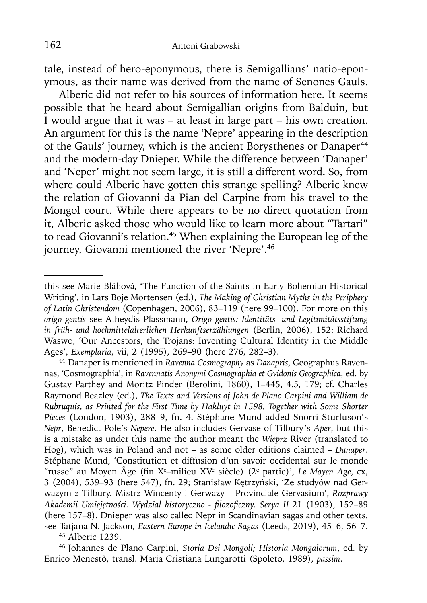tale, instead of hero-eponymous, there is Semigallians' natio-eponymous, as their name was derived from the name of Senones Gauls.

Alberic did not refer to his sources of information here. It seems possible that he heard about Semigallian origins from Balduin, but I would argue that it was – at least in large part – his own creation. An argument for this is the name 'Nepre' appearing in the description of the Gauls' journey, which is the ancient Borysthenes or Danaper<sup>44</sup> and the modern-day Dnieper. While the difference between 'Danaper' and 'Neper' might not seem large, it is still a different word. So, from where could Alberic have gotten this strange spelling? Alberic knew the relation of Giovanni da Pian del Carpine from his travel to the Mongol court. While there appears to be no direct quotation from it, Alberic asked those who would like to learn more about "Tartari" to read Giovanni's relation.45 When explaining the European leg of the journey, Giovanni mentioned the river 'Nepre'.<sup>46</sup>

this see Marie Bláhová, 'The Function of the Saints in Early Bohemian Historical Writing', in Lars Boje Mortensen (ed.), *The Making of Christian Myths in the Periphery of Latin Christendom* (Copenhagen, 2006), 83–119 (here 99–100). For more on this *origo gentis* see Alheydis Plassmann, *Origo gentis: Identitäts- und Legitimitätsstiftung in früh- und hochmittelalterlichen Herkunftserzählungen* (Berlin, 2006), 152; Richard Waswo, 'Our Ancestors, the Trojans: Inventing Cultural Identity in the Middle Ages', *Exemplaria*, vii, 2 (1995), 269–90 (here 276, 282–3).

<sup>44</sup> Danaper is mentioned in *Ravenna Cosmography* as *Danapris*, Geographus Ravennas, 'Cosmographia', in *Ravennatis Anonymi Cosmographia et Gvidonis Geographica*, ed. by Gustav Parthey and Moritz Pinder (Berolini, 1860), 1–445, 4.5, 179; cf. Charles Raymond Beazley (ed.), *The Texts and Versions of John de Plano Carpini and William de Rubruquis, as Printed for the First Time by Hakluyt in 1598, Together with Some Shorter Pieces* (London, 1903), 288–9, fn. 4. Stéphane Mund added Snorri Sturluson's *Nepr*, Benedict Pole's *Nepere*. He also includes Gervase of Tilbury's *Aper*, but this is a mistake as under this name the author meant the *Wieprz* River (translated to Hog), which was in Poland and not – as some older editions claimed – *Danaper*. Stéphane Mund, 'Constitution et diffusion d'un savoir occidental sur le monde "russe" au Moyen Âge (fin X<sup>e</sup>-milieu XV<sup>e</sup> siècle) (2<sup>e</sup> partie)', *Le Moyen Age*, cx, 3 (2004), 539–93 (here 547), fn. 29; Stanisław Kętrzyński, 'Ze studyów nad Gerwazym z Tilbury. Mistrz Wincenty i Gerwazy – Provinciale Gervasium', *Rozprawy Akademii Umiejętności. Wydział historyczno - fi lozofi czny. Serya II* 21 (1903), 152–89 (here 157–8). Dnieper was also called Nepr in Scandinavian sagas and other texts, see Tatjana N. Jackson, *Eastern Europe in Icelandic Sagas* (Leeds, 2019), 45–6, 56–7. 45 Alberic 1239.

<sup>46</sup> Johannes de Plano Carpini, *Storia Dei Mongoli; Historia Mongalorum*, ed. by Enrico Menestò, transl. Maria Cristiana Lungarotti (Spoleto, 1989), *passim*.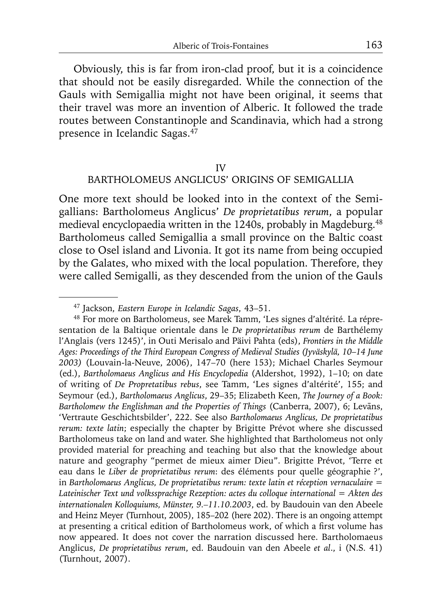Obviously, this is far from iron-clad proof, but it is a coincidence that should not be easily disregarded. While the connection of the Gauls with Semigallia might not have been original, it seems that their travel was more an invention of Alberic. It followed the trade routes between Constantinople and Scandinavia, which had a strong presence in Icelandic Sagas.47

#### IV

# BARTHOLOMEUS ANGLICUS' ORIGINS OF SEMIGALLIA

One more text should be looked into in the context of the Semigallians: Bartholomeus Anglicus' *De proprietatibus rerum*, a popular medieval encyclopaedia written in the 1240s, probably in Magdeburg.<sup>48</sup> Bartholomeus called Semigallia a small province on the Baltic coast close to Osel island and Livonia. It got its name from being occupied by the Galates, who mixed with the local population. Therefore, they were called Semigalli, as they descended from the union of the Gauls

<sup>47</sup> Jackson, *Eastern Europe in Icelandic Sagas*, 43–51.

<sup>48</sup> For more on Bartholomeus, see Marek Tamm, 'Les signes d'altérité. La répresentation de la Baltique orientale dans le *De proprietatibus rerum* de Barthélemy l'Anglais (vers 1245)', in Outi Merisalo and Päivi Pahta (eds), *Frontiers in the Middle Ages: Proceedings of the Third European Congress of Medieval Studies (Jyväskylä, 10*–*14 June 2003)* (Louvain-la-Neuve, 2006), 147–70 (here 153); Michael Charles Seymour (ed.), *Bartholomaeus Anglicus and His Encyclopedia* (Aldershot, 1992), 1–10; on date of writing of *De Propretatibus rebus*, see Tamm, 'Les signes d'altérité', 155; and Seymour (ed.), *Bartholomaeus Anglicus*, 29–35; Elizabeth Keen, *The Journey of a Book: Bartholomew the Englishman and the Properties of Things* (Canberra, 2007), 6; Levāns, 'Vertraute Geschichtsbilder', 222. See also *Bartholomaeus Anglicus, De proprietatibus rerum: texte latin*; especially the chapter by Brigitte Prévot where she discussed Bartholomeus take on land and water. She highlighted that Bartholomeus not only provided material for preaching and teaching but also that the knowledge about nature and geography "permet de mieux aimer Dieu". Brigitte Prévot, 'Terre et eau dans le *Liber de proprietatibus rerum*: des éléments pour quelle géographie ?', in *Bartholomaeus Anglicus, De proprietatibus rerum: texte latin et réception vernaculaire = Lateinischer Text und volkssprachige Rezeption: actes du colloque international = Akten des internationalen Kolloquiums, Münster, 9.–11.10.2003*, ed. by Baudouin van den Abeele and Heinz Meyer (Turnhout, 2005), 185–202 (here 202). There is an ongoing attempt at presenting a critical edition of Bartholomeus work, of which a first volume has now appeared. It does not cover the narration discussed here. Bartholomaeus Anglicus, *De proprietatibus rerum*, ed. Baudouin van den Abeele *et al*., i (N.S. 41) (Turnhout, 2007).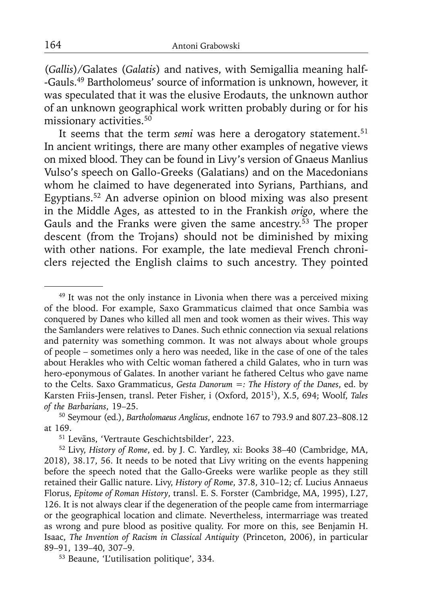(*Gallis*)/Galates (*Galatis*) and natives, with Semigallia meaning half- -Gauls.49 Bartholomeus' source of information is unknown, however, it was speculated that it was the elusive Erodauts, the unknown author of an unknown geographical work written probably during or for his missionary activities.<sup>50</sup>

It seems that the term *semi* was here a derogatory statement.<sup>51</sup> In ancient writings, there are many other examples of negative views on mixed blood. They can be found in Livy's version of Gnaeus Manlius Vulso's speech on Gallo-Greeks (Galatians) and on the Macedonians whom he claimed to have degenerated into Syrians, Parthians, and Egyptians.52 An adverse opinion on blood mixing was also present in the Middle Ages, as attested to in the Frankish *origo*, where the Gauls and the Franks were given the same ancestry.<sup>53</sup> The proper descent (from the Trojans) should not be diminished by mixing with other nations. For example, the late medieval French chroniclers rejected the English claims to such ancestry. They pointed

 $49$  It was not the only instance in Livonia when there was a perceived mixing of the blood. For example, Saxo Grammaticus claimed that once Sambia was conquered by Danes who killed all men and took women as their wives. This way the Samlanders were relatives to Danes. Such ethnic connection via sexual relations and paternity was something common. It was not always about whole groups of people – sometimes only a hero was needed, like in the case of one of the tales about Herakles who with Celtic woman fathered a child Galates, who in turn was hero-eponymous of Galates. In another variant he fathered Celtus who gave name to the Celts. Saxo Grammaticus, *Gesta Danorum =: The History of the Danes*, ed. by Karsten Friis-Jensen, transl. Peter Fisher, i (Oxford, 20151), X.5, 694; Woolf, *Tales of the Barbarians*, 19–25.

<sup>50</sup> Seymour (ed.), *Bartholomaeus Anglicus*, endnote 167 to 793.9 and 807.23–808.12 at 169.<br><sup>51</sup> Levāns, 'Vertraute Geschichtsbilder', 223.

<sup>&</sup>lt;sup>52</sup> Livy, *History of Rome*, ed. by J. C. Yardley, xi: Books 38-40 (Cambridge, MA, 2018), 38.17, 56. It needs to be noted that Livy writing on the events happening before the speech noted that the Gallo-Greeks were warlike people as they still retained their Gallic nature. Livy, *History of Rome*, 37.8, 310–12; cf. Lucius Annaeus Florus, *Epitome of Roman History*, transl. E. S. Forster (Cambridge, MA, 1995), I.27, 126. It is not always clear if the degeneration of the people came from intermarriage or the geographical location and climate. Nevertheless, intermarriage was treated as wrong and pure blood as positive quality. For more on this, see Benjamin H. Isaac, *The Invention of Racism in Classical Antiquity* (Princeton, 2006), in particular 89–91, 139–40, 307–9.

<sup>53</sup> Beaune, 'L'utilisation politique', 334.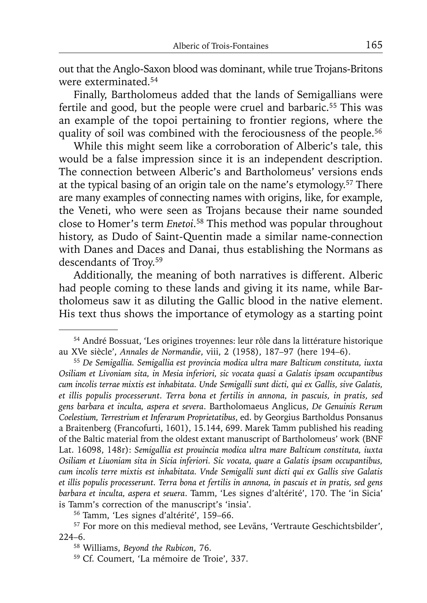out that the Anglo-Saxon blood was dominant, while true Trojans-Britons were exterminated.54

Finally, Bartholomeus added that the lands of Semigallians were fertile and good, but the people were cruel and barbaric.<sup>55</sup> This was an example of the topoi pertaining to frontier regions, where the quality of soil was combined with the ferociousness of the people.<sup>56</sup>

While this might seem like a corroboration of Alberic's tale, this would be a false impression since it is an independent description. The connection between Alberic's and Bartholomeus' versions ends at the typical basing of an origin tale on the name's etymology.57 There are many examples of connecting names with origins, like, for example, the Veneti, who were seen as Trojans because their name sounded close to Homer's term *Enetoi*. 58 This method was popular throughout history, as Dudo of Saint-Quentin made a similar name-connection with Danes and Daces and Danai, thus establishing the Normans as descendants of Troy.59

Additionally, the meaning of both narratives is different. Alberic had people coming to these lands and giving it its name, while Bartholomeus saw it as diluting the Gallic blood in the native element. His text thus shows the importance of etymology as a starting point

<sup>54</sup> André Bossuat, 'Les origines troyennes: leur rôle dans la littérature historique au XVe siècle', *Annales de Normandie*, viii, 2 (1958), 187–97 (here 194–6).

<sup>55</sup>*De Semigallia. Semigallia est provincia modica ultra mare Balticum constituta, iuxta Osiliam et Livoniam sita, in Mesia inferiori, sic vocata quasi a Galatis ipsam occupantibus cum incolis terrae mixtis est inhabitata. Unde Semigalli sunt dicti, qui ex Gallis, sive Galatis, et illis populis processerunt. Terra bona et fertilis in annona, in pascuis, in pratis, sed gens barbara et inculta, aspera et severa*. Bartholomaeus Anglicus, *De Genuinis Rerum Coelestium, Terrestrium et Inferarum Proprietatibus*, ed. by Georgius Bartholdus Ponsanus a Braitenberg (Francofurti, 1601), 15.144, 699. Marek Tamm published his reading of the Baltic material from the oldest extant manuscript of Bartholomeus' work (BNF Lat. 16098, 148r): *Semigallia est prouincia modica ultra mare Balticum constituta, iuxta Osiliam et Liuoniam sita in Sicia inferiori. Sic vocata, quare a Galatis ipsam occupantibus, cum incolis terre mixtis est inhabitata. Vnde Semigalli sunt dicti qui ex Gallis sive Galatis et illis populis processerunt. Terra bona et fertilis in annona, in pascuis et in pratis, sed gens barbara et inculta, aspera et seuera*. Tamm, 'Les signes d'altérité', 170. The 'in Sicia' is Tamm's correction of the manuscript's 'insia'.

<sup>56</sup> Tamm, 'Les signes d'altérité', 159–66.

<sup>57</sup> For more on this medieval method, see Levāns, 'Vertraute Geschichtsbilder', 224–6.

<sup>58</sup> Williams, *Beyond the Rubicon*, 76.

<sup>59</sup> Cf. Coumert, 'La mémoire de Troie', 337.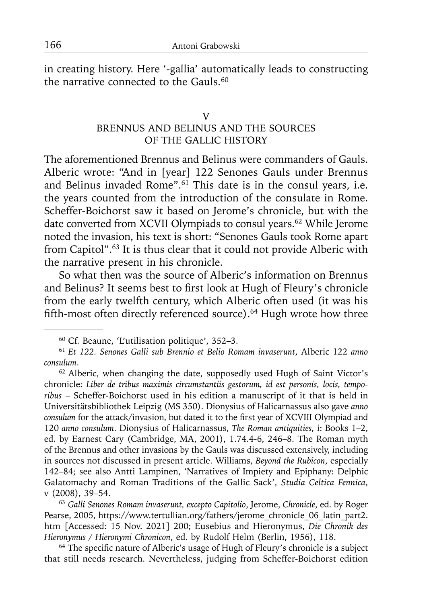in creating history. Here '-gallia' automatically leads to constructing the narrative connected to the Gauls.<sup>60</sup>

#### V

# BRENNUS AND BELINUS AND THE SOURCES OF THE GALLIC HISTORY

The aforementioned Brennus and Belinus were commanders of Gauls. Alberic wrote: "And in [year] 122 Senones Gauls under Brennus and Belinus invaded Rome".<sup>61</sup> This date is in the consul years, i.e. the years counted from the introduction of the consulate in Rome. Scheffer-Boichorst saw it based on Jerome's chronicle, but with the date converted from XCVII Olympiads to consul years.<sup>62</sup> While Jerome noted the invasion, his text is short: "Senones Gauls took Rome apart from Capitol".63 It is thus clear that it could not provide Alberic with the narrative present in his chronicle.

So what then was the source of Alberic's information on Brennus and Belinus? It seems best to first look at Hugh of Fleury's chronicle from the early twelfth century, which Alberic often used (it was his fifth-most often directly referenced source).<sup>64</sup> Hugh wrote how three

<sup>62</sup> Alberic, when changing the date, supposedly used Hugh of Saint Victor's chronicle: *Liber de tribus maximis circumstantiis gestorum, id est personis, locis, temporibus* – Scheffer-Boichorst used in his edition a manuscript of it that is held in Universitätsbibliothek Leipzig (MS 350). Dionysius of Halicarnassus also gave *anno*  consulum for the attack/invasion, but dated it to the first year of XCVIII Olympiad and 120 *anno consulum*. Dionysius of Halicarnassus, *The Roman antiquities,* i: Books 1–2, ed. by Earnest Cary (Cambridge, MA, 2001), 1.74.4-6, 246–8. The Roman myth of the Brennus and other invasions by the Gauls was discussed extensively, including in sources not discussed in present article. Williams, *Beyond the Rubicon*, especially 142–84; see also Antti Lampinen, 'Narratives of Impiety and Epiphany: Delphic Galatomachy and Roman Traditions of the Gallic Sack', *Studia Celtica Fennica*, v (2008), 39–54.

<sup>63</sup>*Galli Senones Romam invaserunt, excepto Capitolio*, Jerome, *Chronicle*, ed. by Roger Pearse, 2005, https://www.tertullian.org/fathers/jerome\_chronicle\_06\_latin\_part2. htm [Accessed: 15 Nov. 2021] 200; Eusebius and Hieronymus, *Die Chronik des Hieronymus / Hieronymi Chronicon*, ed. by Rudolf Helm (Berlin, 1956), 118.

 $64$  The specific nature of Alberic's usage of Hugh of Fleury's chronicle is a subject that still needs research. Nevertheless, judging from Scheffer-Boichorst edition

<sup>60</sup> Cf. Beaune, 'L'utilisation politique', 352–3.

<sup>61</sup>*Et 122. Senones Galli sub Brennio et Belio Romam invaserunt*, Alberic 122 *anno consulum*.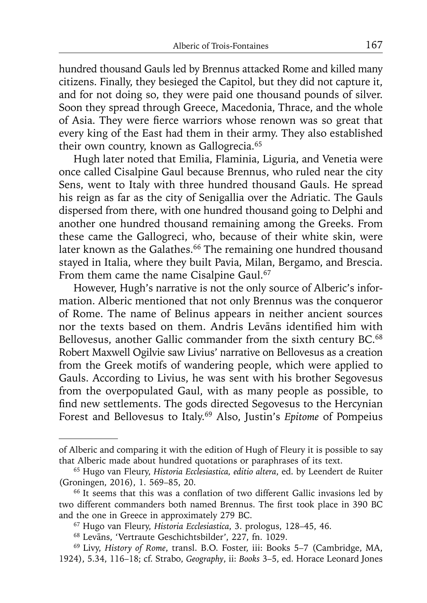hundred thousand Gauls led by Brennus attacked Rome and killed many citizens. Finally, they besieged the Capitol, but they did not capture it, and for not doing so, they were paid one thousand pounds of silver. Soon they spread through Greece, Macedonia, Thrace, and the whole of Asia. They were fierce warriors whose renown was so great that every king of the East had them in their army. They also established their own country, known as Gallogrecia.<sup>65</sup>

Hugh later noted that Emilia, Flaminia, Liguria, and Venetia were once called Cisalpine Gaul because Brennus, who ruled near the city Sens, went to Italy with three hundred thousand Gauls. He spread his reign as far as the city of Senigallia over the Adriatic. The Gauls dispersed from there, with one hundred thousand going to Delphi and another one hundred thousand remaining among the Greeks. From these came the Gallogreci, who, because of their white skin, were later known as the Galathes.<sup>66</sup> The remaining one hundred thousand stayed in Italia, where they built Pavia, Milan, Bergamo, and Brescia. From them came the name Cisalpine Gaul.<sup>67</sup>

However, Hugh's narrative is not the only source of Alberic's information. Alberic mentioned that not only Brennus was the conqueror of Rome. The name of Belinus appears in neither ancient sources nor the texts based on them. Andris Levāns identified him with Bellovesus, another Gallic commander from the sixth century BC.<sup>68</sup> Robert Maxwell Ogilvie saw Livius' narrative on Bellovesus as a creation from the Greek motifs of wandering people, which were applied to Gauls. According to Livius, he was sent with his brother Segovesus from the overpopulated Gaul, with as many people as possible, to find new settlements. The gods directed Segovesus to the Hercynian Forest and Bellovesus to Italy.69 Also, Justin's *Epitome* of Pompeius

of Alberic and comparing it with the edition of Hugh of Fleury it is possible to say that Alberic made about hundred quotations or paraphrases of its text.

<sup>65</sup> Hugo van Fleury, *Historia Ecclesiastica, editio altera*, ed. by Leendert de Ruiter (Groningen, 2016), 1. 569–85, 20.

<sup>&</sup>lt;sup>66</sup> It seems that this was a conflation of two different Gallic invasions led by two different commanders both named Brennus. The first took place in 390 BC and the one in Greece in approximately 279 BC.

<sup>67</sup> Hugo van Fleury, *Historia Ecclesiastica*, 3. prologus, 128–45, 46.

<sup>68</sup> Levāns, 'Vertraute Geschichtsbilder', 227, fn. 1029.

<sup>69</sup> Livy, *History of Rome*, transl. B.O. Foster, iii: Books 5–7 (Cambridge, MA, 1924), 5.34, 116–18; cf. Strabo, *Geography*, ii: *Books* 3–5, ed. Horace Leonard Jones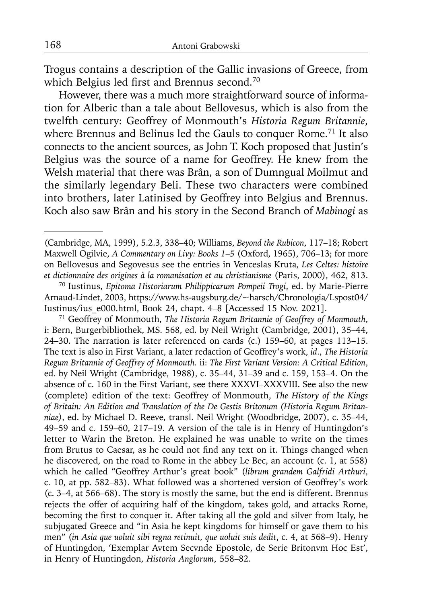Trogus contains a description of the Gallic invasions of Greece, from which Belgius led first and Brennus second.<sup>70</sup>

However, there was a much more straightforward source of information for Alberic than a tale about Bellovesus, which is also from the twelfth century: Geoffrey of Monmouth's *Historia Regum Britannie*, where Brennus and Belinus led the Gauls to conquer Rome.<sup>71</sup> It also connects to the ancient sources, as John T. Koch proposed that Justin's Belgius was the source of a name for Geoffrey. He knew from the Welsh material that there was Brân, a son of Dumngual Moilmut and the similarly legendary Beli. These two characters were combined into brothers, later Latinised by Geoffrey into Belgius and Brennus. Koch also saw Brân and his story in the Second Branch of *Mabinogi* as

71 Geoffrey of Monmouth, *The Historia Regum Britannie of Geoffrey of Monmouth*, i: Bern, Burgerbibliothek, MS. 568, ed. by Neil Wright (Cambridge, 2001), 35–44, 24–30. The narration is later referenced on cards (c.) 159–60, at pages 113–15. The text is also in First Variant, a later redaction of Geoffrey's work, *id*., *The Historia Regum Britannie of Geoffrey of Monmouth.* ii: *The First Variant Version: A Critical Edition*, ed. by Neil Wright (Cambridge, 1988), c. 35–44, 31–39 and c. 159, 153–4. On the absence of c. 160 in the First Variant, see there XXXVI–XXXVIII. See also the new (complete) edition of the text: Geoffrey of Monmouth, *The History of the Kings of Britain: An Edition and Translation of the De Gestis Britonum (Historia Regum Britanniae)*, ed. by Michael D. Reeve, transl. Neil Wright (Woodbridge, 2007), c. 35–44, 49–59 and c. 159–60, 217–19. A version of the tale is in Henry of Huntingdon's letter to Warin the Breton. He explained he was unable to write on the times from Brutus to Caesar, as he could not find any text on it. Things changed when he discovered, on the road to Rome in the abbey Le Bec, an account (c. 1, at 558) which he called "Geoffrey Arthur's great book" (*librum grandem Galfridi Arthuri*, c. 10, at pp. 582–83). What followed was a shortened version of Geoffrey's work (c. 3–4, at 566–68). The story is mostly the same, but the end is different. Brennus rejects the offer of acquiring half of the kingdom, takes gold, and attacks Rome, becoming the first to conquer it. After taking all the gold and silver from Italy, he subjugated Greece and "in Asia he kept kingdoms for himself or gave them to his men" (*in Asia que uoluit sibi regna retinuit, que uoluit suis dedit*, c. 4, at 568–9). Henry of Huntingdon, 'Exemplar Avtem Secvnde Epostole, de Serie Britonvm Hoc Est', in Henry of Huntingdon, *Historia Anglorum*, 558–82.

<sup>(</sup>Cambridge, MA, 1999), 5.2.3, 338–40; Williams, *Beyond the Rubicon*, 117–18; Robert Maxwell Ogilvie, *A Commentary on Livy: Books 1*–*5* (Oxford, 1965), 706–13; for more on Bellovesus and Segovesus see the entries in Venceslas Kruta, *Les Celtes: histoire et dictionnaire des origines à la romanisation et au christianisme* (Paris, 2000), 462, 813.

<sup>70</sup> Iustinus, *Epitoma Historiarum Philippicarum Pompeii Trogi*, ed. by Marie-Pierre Arnaud-Lindet, 2003, https://www.hs-augsburg.de/~harsch/Chronologia/Lspost04/ Iustinus/ius\_e000.html, Book 24, chapt. 4–8 [Accessed 15 Nov. 2021].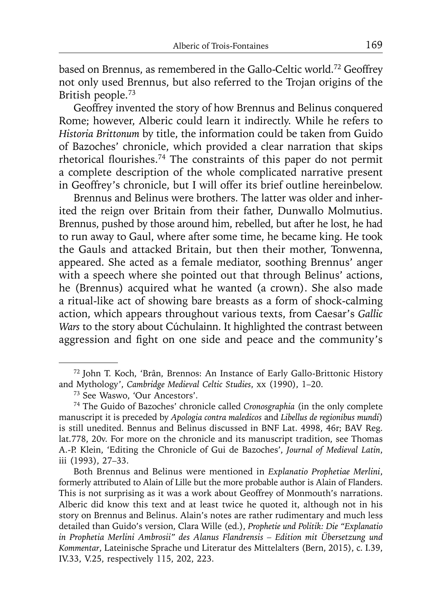based on Brennus, as remembered in the Gallo-Celtic world.<sup>72</sup> Geoffrey not only used Brennus, but also referred to the Trojan origins of the British people.73

Geoffrey invented the story of how Brennus and Belinus conquered Rome; however, Alberic could learn it indirectly. While he refers to *Historia Brittonum* by title, the information could be taken from Guido of Bazoches' chronicle, which provided a clear narration that skips rhetorical flourishes.<sup>74</sup> The constraints of this paper do not permit a complete description of the whole complicated narrative present in Geoffrey's chronicle, but I will offer its brief outline hereinbelow.

Brennus and Belinus were brothers. The latter was older and inherited the reign over Britain from their father, Dunwallo Molmutius. Brennus, pushed by those around him, rebelled, but after he lost, he had to run away to Gaul, where after some time, he became king. He took the Gauls and attacked Britain, but then their mother, Tonwenna, appeared. She acted as a female mediator, soothing Brennus' anger with a speech where she pointed out that through Belinus' actions, he (Brennus) acquired what he wanted (a crown). She also made a ritual-like act of showing bare breasts as a form of shock-calming action, which appears throughout various texts, from Caesar's *Gallic Wars* to the story about Cúchulainn. It highlighted the contrast between aggression and fight on one side and peace and the community's

<sup>72</sup> John T. Koch, 'Brân, Brennos: An Instance of Early Gallo-Brittonic History and Mythology', *Cambridge Medieval Celtic Studies*, xx (1990), 1–20.

<sup>73</sup> See Waswo, 'Our Ancestors'.

<sup>74</sup> The Guido of Bazoches' chronicle called *Cronosgraphia* (in the only complete manuscript it is preceded by *Apologia contra maledicos* and *Libellus de regionibus mundi*) is still unedited. Bennus and Belinus discussed in BNF Lat. 4998, 46r; BAV Reg. lat.778, 20v. For more on the chronicle and its manuscript tradition, see Thomas A.-P. Klein, 'Editing the Chronicle of Gui de Bazoches', *Journal of Medieval Latin*, iii (1993), 27–33.

Both Brennus and Belinus were mentioned in *Explanatio Prophetiae Merlini*, formerly attributed to Alain of Lille but the more probable author is Alain of Flanders. This is not surprising as it was a work about Geoffrey of Monmouth's narrations. Alberic did know this text and at least twice he quoted it, although not in his story on Brennus and Belinus. Alain's notes are rather rudimentary and much less detailed than Guido's version, Clara Wille (ed.), *Prophetie und Politik: Die "Explanatio in Prophetia Merlini Ambrosii" des Alanus Flandrensis – Edition mit Übersetzung und Kommentar*, Lateinische Sprache und Literatur des Mittelalters (Bern, 2015), c. I.39, IV.33, V.25, respectively 115, 202, 223.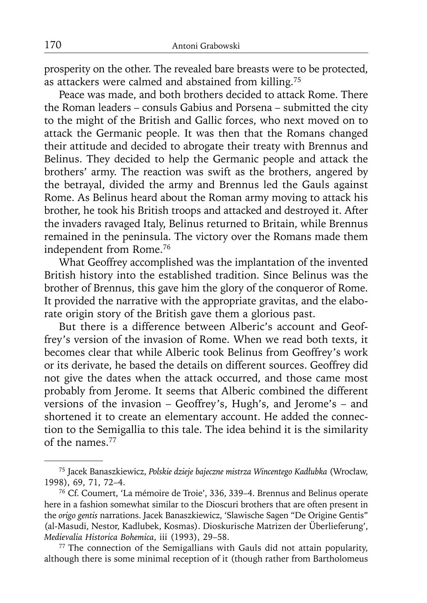prosperity on the other. The revealed bare breasts were to be protected, as attackers were calmed and abstained from killing.75

Peace was made, and both brothers decided to attack Rome. There the Roman leaders – consuls Gabius and Porsena – submitted the city to the might of the British and Gallic forces, who next moved on to attack the Germanic people. It was then that the Romans changed their attitude and decided to abrogate their treaty with Brennus and Belinus. They decided to help the Germanic people and attack the brothers' army. The reaction was swift as the brothers, angered by the betrayal, divided the army and Brennus led the Gauls against Rome. As Belinus heard about the Roman army moving to attack his brother, he took his British troops and attacked and destroyed it. After the invaders ravaged Italy, Belinus returned to Britain, while Brennus remained in the peninsula. The victory over the Romans made them independent from Rome.76

What Geoffrey accomplished was the implantation of the invented British history into the established tradition. Since Belinus was the brother of Brennus, this gave him the glory of the conqueror of Rome. It provided the narrative with the appropriate gravitas, and the elaborate origin story of the British gave them a glorious past.

But there is a difference between Alberic's account and Geoffrey's version of the invasion of Rome. When we read both texts, it becomes clear that while Alberic took Belinus from Geoffrey's work or its derivate, he based the details on different sources. Geoffrey did not give the dates when the attack occurred, and those came most probably from Jerome. It seems that Alberic combined the different versions of the invasion – Geoffrey's, Hugh's, and Jerome's – and shortened it to create an elementary account. He added the connection to the Semigallia to this tale. The idea behind it is the similarity of the names.77

<sup>75</sup> Jacek Banaszkiewicz, *Polskie dzieje bajeczne mistrza Wincentego Kadłubka* (Wrocław, 1998), 69, 71, 72–4.

<sup>76</sup> Cf. Coumert, 'La mémoire de Troie', 336, 339–4. Brennus and Belinus operate here in a fashion somewhat similar to the Dioscuri brothers that are often present in the *origo gentis* narrations. Jacek Banaszkiewicz, 'Slawische Sagen "De Origine Gentis" (al-Masudi, Nestor, Kadlubek, Kosmas). Dioskurische Matrizen der Überlieferung', *Medievalia Historica Bohemica*, iii (1993), 29–58.

<sup>77</sup> The connection of the Semigallians with Gauls did not attain popularity, although there is some minimal reception of it (though rather from Bartholomeus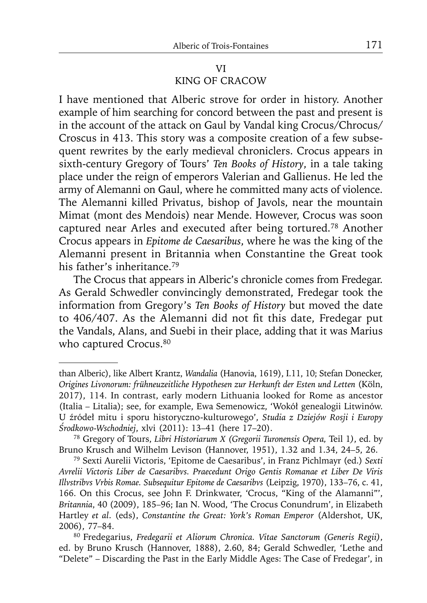# VI KING OF CRACOW

I have mentioned that Alberic strove for order in history. Another example of him searching for concord between the past and present is in the account of the attack on Gaul by Vandal king Crocus/Chrocus/ Croscus in 413. This story was a composite creation of a few subsequent rewrites by the early medieval chroniclers. Crocus appears in sixth-century Gregory of Tours' *Ten Books of History*, in a tale taking place under the reign of emperors Valerian and Gallienus. He led the army of Alemanni on Gaul, where he committed many acts of violence. The Alemanni killed Privatus, bishop of Javols, near the mountain Mimat (mont des Mendois) near Mende. However, Crocus was soon captured near Arles and executed after being tortured.78 Another Crocus appears in *Epitome de Caesaribus*, where he was the king of the Alemanni present in Britannia when Constantine the Great took his father's inheritance.<sup>79</sup>

The Crocus that appears in Alberic's chronicle comes from Fredegar. As Gerald Schwedler convincingly demonstrated, Fredegar took the information from Gregory's *Ten Books of History* but moved the date to 406/407. As the Alemanni did not fit this date, Fredegar put the Vandals, Alans, and Suebi in their place, adding that it was Marius who captured Crocus.<sup>80</sup>

than Alberic), like Albert Krantz, *Wandalia* (Hanovia, 1619), I.11, 10; Stefan Donecker, *Origines Livonorum: frühneuzeitliche Hypothesen zur Herkunft der Esten und Letten* (Köln, 2017), 114. In contrast, early modern Lithuania looked for Rome as ancestor (Italia – Litalia); see, for example, Ewa Semenowicz, 'Wokół genealogii Litwinów. U źródeł mitu i sporu historyczno-kulturowego', *Studia z Dziejów Rosji i Europy Środkowo-Wschodniej*, xlvi (2011): 13–41 (here 17–20).

<sup>78</sup> Gregory of Tours, *Libri Historiarum X (Gregorii Turonensis Opera,* Teil 1*)*, ed. by Bruno Krusch and Wilhelm Levison (Hannover, 1951), 1.32 and 1.34, 24–5, 26.

<sup>79</sup> Sexti Aurelii Victoris, 'Epitome de Caesaribus', in Franz Pichlmayr (ed.) *Sexti Avrelii Victoris Liber de Caesaribvs. Praecedunt Origo Gentis Romanae et Liber De Viris Illvstribvs Vrbis Romae. Subsequitur Epitome de Caesaribvs* (Leipzig, 1970), 133–76, c. 41, 166. On this Crocus, see John F. Drinkwater, 'Crocus, "King of the Alamanni"', *Britannia*, 40 (2009), 185–96; Ian N. Wood, 'The Crocus Conundrum', in Elizabeth Hartley *et al*. (eds), *Constantine the Great: York's Roman Emperor* (Aldershot, UK, 2006), 77–84.

<sup>80</sup> Fredegarius, *Fredegarii et Aliorum Chronica. Vitae Sanctorum (Generis Regii)*, ed. by Bruno Krusch (Hannover, 1888), 2.60, 84; Gerald Schwedler, 'Lethe and "Delete" – Discarding the Past in the Early Middle Ages: The Case of Fredegar', in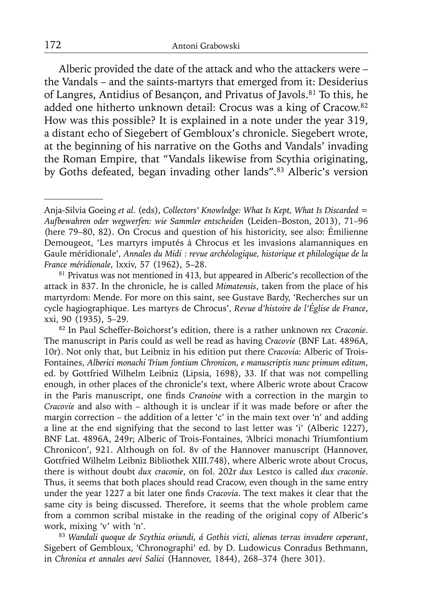Alberic provided the date of the attack and who the attackers were – the Vandals – and the saints-martyrs that emerged from it: Desiderius of Langres, Antidius of Besançon, and Privatus of Javols.<sup>81</sup> To this, he added one hitherto unknown detail: Crocus was a king of Cracow.<sup>82</sup> How was this possible? It is explained in a note under the year 319, a distant echo of Siegebert of Gembloux's chronicle. Siegebert wrote, at the beginning of his narrative on the Goths and Vandals' invading the Roman Empire, that "Vandals likewise from Scythia originating, by Goths defeated, began invading other lands".83 Alberic's version

Anja-Silvia Goeing *et al*. (eds), *Collectors' Knowledge: What Is Kept, What Is Discarded = Aufbewahren oder wegwerfen: wie Sammler entscheiden* (Leiden–Boston, 2013), 71–96 (here 79–80, 82). On Crocus and question of his historicity, see also: Émilienne Demougeot, 'Les martyrs imputés à Chrocus et les invasions alamanniques en Gaule méridionale', *Annales du Midi : revue archéologique, historique et philologique de la France méridionale*, lxxiv, 57 (1962), 5–28.

<sup>&</sup>lt;sup>81</sup> Privatus was not mentioned in 413, but appeared in Alberic's recollection of the attack in 837. In the chronicle, he is called *Mimatensis*, taken from the place of his martyrdom: Mende. For more on this saint, see Gustave Bardy, 'Recherches sur un cycle hagiographique. Les martyrs de Chrocus', *Revue d'histoire de l'Église de France*, xxi, 90 (1935), 5–29.

<sup>82</sup> In Paul Scheffer-Boichorst's edition, there is a rather unknown *rex Craconie*. The manuscript in Paris could as well be read as having *Cracovie* (BNF Lat. 4896A, 10r). Not only that, but Leibniz in his edition put there *Cracovia*: Alberic of Trois-Fontaines, *Alberici monachi Trium fontium Chronicon, e manuscriptis nunc primum editum*, ed. by Gottfried Wilhelm Leibniz (Lipsia, 1698), 33. If that was not compelling enough, in other places of the chronicle's text, where Alberic wrote about Cracow in the Paris manuscript, one finds *Cranoine* with a correction in the margin to *Cracovie* and also with – although it is unclear if it was made before or after the margin correction – the addition of a letter 'c' in the main text over 'n' and adding a line at the end signifying that the second to last letter was 'i' (Alberic 1227), BNF Lat. 4896A, 249r; Alberic of Trois-Fontaines, 'Albrici monachi Triumfontium Chronicon', 921. Although on fol. 8v of the Hannover manuscript (Hannover, Gottfried Wilhelm Leibniz Bibliothek XIII.748), where Alberic wrote about Crocus, there is without doubt *dux craconie*, on fol. 202r *dux* Lestco is called *dux craconie*. Thus, it seems that both places should read Cracow, even though in the same entry under the year 1227 a bit later one finds *Cracovia*. The text makes it clear that the same city is being discussed. Therefore, it seems that the whole problem came from a common scribal mistake in the reading of the original copy of Alberic's work, mixing 'v' with 'n'.

<sup>83</sup>*Wandali quoque de Scythia oriundi, á Gothis victi, alienas terras invadere ceperunt*, Sigebert of Gembloux, 'Chronographi' ed. by D. Ludowicus Conradus Bethmann, in *Chronica et annales aevi Salici* (Hannover, 1844), 268–374 (here 301).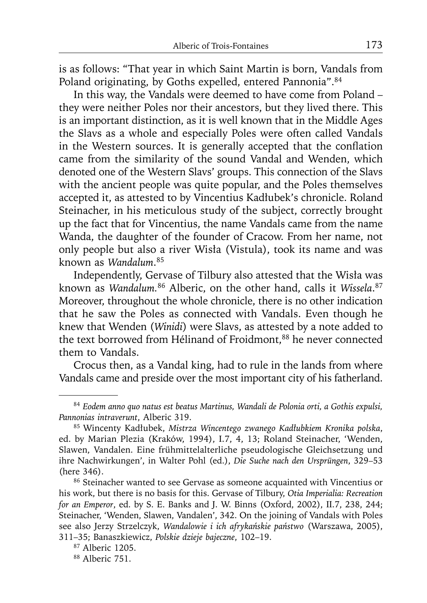is as follows: "That year in which Saint Martin is born, Vandals from Poland originating, by Goths expelled, entered Pannonia".<sup>84</sup>

In this way, the Vandals were deemed to have come from Poland – they were neither Poles nor their ancestors, but they lived there. This is an important distinction, as it is well known that in the Middle Ages the Slavs as a whole and especially Poles were often called Vandals in the Western sources. It is generally accepted that the conflation came from the similarity of the sound Vandal and Wenden, which denoted one of the Western Slavs' groups. This connection of the Slavs with the ancient people was quite popular, and the Poles themselves accepted it, as attested to by Vincentius Kadłubek's chronicle. Roland Steinacher, in his meticulous study of the subject, correctly brought up the fact that for Vincentius, the name Vandals came from the name Wanda, the daughter of the founder of Cracow. From her name, not only people but also a river Wisła (Vistula), took its name and was known as *Wandalum*. 85

Independently, Gervase of Tilbury also attested that the Wisła was known as *Wandalum.*86 Alberic, on the other hand, calls it *Wissela*. 87 Moreover, throughout the whole chronicle, there is no other indication that he saw the Poles as connected with Vandals. Even though he knew that Wenden (*Winidi*) were Slavs, as attested by a note added to the text borrowed from Hélinand of Froidmont,<sup>88</sup> he never connected them to Vandals.

Crocus then, as a Vandal king, had to rule in the lands from where Vandals came and preside over the most important city of his fatherland.

<sup>84</sup>*Eodem anno quo natus est beatus Martinus, Wandali de Polonia orti, a Gothis expulsi, Pannonias intraverunt*, Alberic 319.

<sup>85</sup> Wincenty Kadłubek, *Mistrza Wincentego zwanego Kadłubkiem Kronika polska*, ed. by Marian Plezia (Kraków, 1994), I.7, 4, 13; Roland Steinacher, 'Wenden, Slawen, Vandalen. Eine frühmittelalterliche pseudologische Gleichsetzung und ihre Nachwirkungen', in Walter Pohl (ed.), *Die Suche nach den Ursprüngen*, 329–53 (here 346).

<sup>86</sup> Steinacher wanted to see Gervase as someone acquainted with Vincentius or his work, but there is no basis for this. Gervase of Tilbury, *Otia Imperialia: Recreation for an Emperor*, ed. by S. E. Banks and J. W. Binns (Oxford, 2002), II.7, 238, 244; Steinacher, 'Wenden, Slawen, Vandalen', 342. On the joining of Vandals with Poles see also Jerzy Strzelczyk, *Wandalowie i ich afrykańskie państwo* (Warszawa, 2005), 311–35; Banaszkiewicz, *Polskie dzieje bajeczne*, 102–19.

<sup>87</sup> Alberic 1205.

<sup>88</sup> Alberic 751.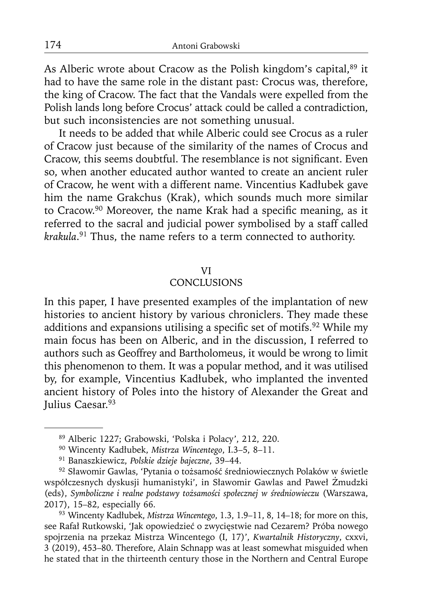As Alberic wrote about Cracow as the Polish kingdom's capital, <sup>89</sup> it had to have the same role in the distant past: Crocus was, therefore, the king of Cracow. The fact that the Vandals were expelled from the Polish lands long before Crocus' attack could be called a contradiction, but such inconsistencies are not something unusual.

It needs to be added that while Alberic could see Crocus as a ruler of Cracow just because of the similarity of the names of Crocus and Cracow, this seems doubtful. The resemblance is not significant. Even so, when another educated author wanted to create an ancient ruler of Cracow, he went with a different name. Vincentius Kadłubek gave him the name Grakchus (Krak), which sounds much more similar to Cracow.<sup>90</sup> Moreover, the name Krak had a specific meaning, as it referred to the sacral and judicial power symbolised by a staff called *krakula*. 91 Thus, the name refers to a term connected to authority.

#### VI

### CONCLUSIONS

In this paper, I have presented examples of the implantation of new histories to ancient history by various chroniclers. They made these additions and expansions utilising a specific set of motifs.<sup>92</sup> While my main focus has been on Alberic, and in the discussion, I referred to authors such as Geoffrey and Bartholomeus, it would be wrong to limit this phenomenon to them. It was a popular method, and it was utilised by, for example, Vincentius Kadłubek, who implanted the invented ancient history of Poles into the history of Alexander the Great and Julius Caesar.<sup>93</sup>

<sup>89</sup> Alberic 1227; Grabowski, 'Polska i Polacy', 212, 220.

<sup>90</sup> Wincenty Kadłubek, *Mistrza Wincentego*, I.3–5, 8–11.

<sup>91</sup> Banaszkiewicz, *Polskie dzieje bajeczne*, 39–44.

<sup>92</sup> Sławomir Gawlas, 'Pytania o tożsamość średniowiecznych Polaków w świetle współczesnych dyskusji humanistyki', in Sławomir Gawlas and Paweł Żmudzki (eds), *Symboliczne i realne podstawy tożsamości społecznej w średniowieczu* (Warszawa, 2017), 15–82, especially 66.

<sup>93</sup> Wincenty Kadłubek, *Mistrza Wincentego*, 1.3, 1.9–11, 8, 14–18; for more on this, see Rafał Rutkowski, 'Jak opowiedzieć o zwycięstwie nad Cezarem? Próba nowego spojrzenia na przekaz Mistrza Wincentego (I, 17)', *Kwartalnik Historyczny*, cxxvi, 3 (2019), 453–80. Therefore, Alain Schnapp was at least somewhat misguided when he stated that in the thirteenth century those in the Northern and Central Europe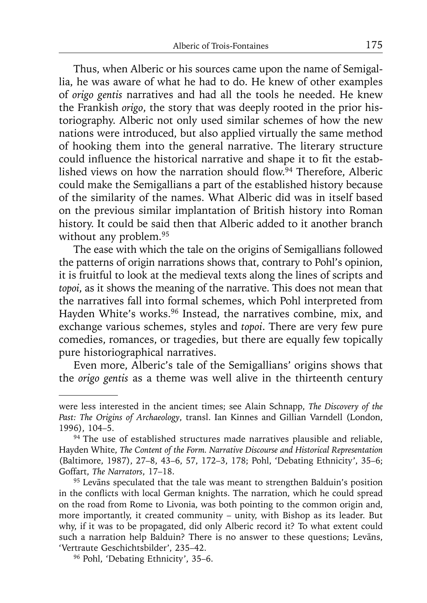Thus, when Alberic or his sources came upon the name of Semigallia, he was aware of what he had to do. He knew of other examples of *origo gentis* narratives and had all the tools he needed. He knew the Frankish *origo*, the story that was deeply rooted in the prior historiography. Alberic not only used similar schemes of how the new nations were introduced, but also applied virtually the same method of hooking them into the general narrative. The literary structure could influence the historical narrative and shape it to fit the established views on how the narration should flow.<sup>94</sup> Therefore, Alberic could make the Semigallians a part of the established history because of the similarity of the names. What Alberic did was in itself based on the previous similar implantation of British history into Roman history. It could be said then that Alberic added to it another branch without any problem.<sup>95</sup>

The ease with which the tale on the origins of Semigallians followed the patterns of origin narrations shows that, contrary to Pohl's opinion, it is fruitful to look at the medieval texts along the lines of scripts and *topoi*, as it shows the meaning of the narrative. This does not mean that the narratives fall into formal schemes, which Pohl interpreted from Hayden White's works.<sup>96</sup> Instead, the narratives combine, mix, and exchange various schemes, styles and *topoi*. There are very few pure comedies, romances, or tragedies, but there are equally few topically pure historiographical narratives.

Even more, Alberic's tale of the Semigallians' origins shows that the *origo gentis* as a theme was well alive in the thirteenth century

were less interested in the ancient times; see Alain Schnapp, *The Discovery of the Past: The Origins of Archaeology*, transl. Ian Kinnes and Gillian Varndell (London, 1996), 104–5.

<sup>&</sup>lt;sup>94</sup> The use of established structures made narratives plausible and reliable, Hayden White, *The Content of the Form. Narrative Discourse and Historical Representation* (Baltimore, 1987), 27–8, 43–6, 57, 172–3, 178; Pohl, 'Debating Ethnicity', 35–6; Goffart, *The Narrators*, 17–18.

<sup>&</sup>lt;sup>95</sup> Levāns speculated that the tale was meant to strengthen Balduin's position in the conflicts with local German knights. The narration, which he could spread on the road from Rome to Livonia, was both pointing to the common origin and, more importantly, it created community – unity, with Bishop as its leader. But why, if it was to be propagated, did only Alberic record it? To what extent could such a narration help Balduin? There is no answer to these questions; Levāns, 'Vertraute Geschichtsbilder', 235–42.

<sup>96</sup> Pohl, 'Debating Ethnicity', 35–6.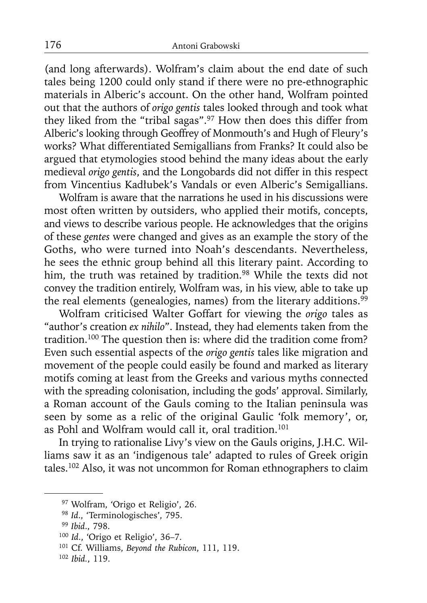(and long afterwards). Wolfram's claim about the end date of such tales being 1200 could only stand if there were no pre-ethnographic materials in Alberic's account. On the other hand, Wolfram pointed out that the authors of *origo gentis* tales looked through and took what they liked from the "tribal sagas".97 How then does this differ from Alberic's looking through Geoffrey of Monmouth's and Hugh of Fleury's works? What differentiated Semigallians from Franks? It could also be argued that etymologies stood behind the many ideas about the early medieval *origo gentis*, and the Longobards did not differ in this respect from Vincentius Kadłubek's Vandals or even Alberic's Semigallians.

Wolfram is aware that the narrations he used in his discussions were most often written by outsiders, who applied their motifs, concepts, and views to describe various people. He acknowledges that the origins of these *gentes* were changed and gives as an example the story of the Goths, who were turned into Noah's descendants. Nevertheless, he sees the ethnic group behind all this literary paint. According to him, the truth was retained by tradition.<sup>98</sup> While the texts did not convey the tradition entirely, Wolfram was, in his view, able to take up the real elements (genealogies, names) from the literary additions.<sup>99</sup>

Wolfram criticised Walter Goffart for viewing the *origo* tales as "author's creation *ex nihilo*". Instead, they had elements taken from the tradition.100 The question then is: where did the tradition come from? Even such essential aspects of the *origo gentis* tales like migration and movement of the people could easily be found and marked as literary motifs coming at least from the Greeks and various myths connected with the spreading colonisation, including the gods' approval. Similarly, a Roman account of the Gauls coming to the Italian peninsula was seen by some as a relic of the original Gaulic 'folk memory', or, as Pohl and Wolfram would call it, oral tradition.<sup>101</sup>

In trying to rationalise Livy's view on the Gauls origins, J.H.C. Williams saw it as an 'indigenous tale' adapted to rules of Greek origin tales.102 Also, it was not uncommon for Roman ethnographers to claim

<sup>97</sup> Wolfram, 'Origo et Religio', 26.

<sup>98</sup>*Id*., 'Terminologisches', 795.

<sup>99</sup>*Ibid*., 798.

<sup>100</sup>*Id*., 'Origo et Religio', 36–7.

<sup>101</sup> Cf. Williams, *Beyond the Rubicon*, 111, 119.

<sup>102</sup> *Ibid.*, 119.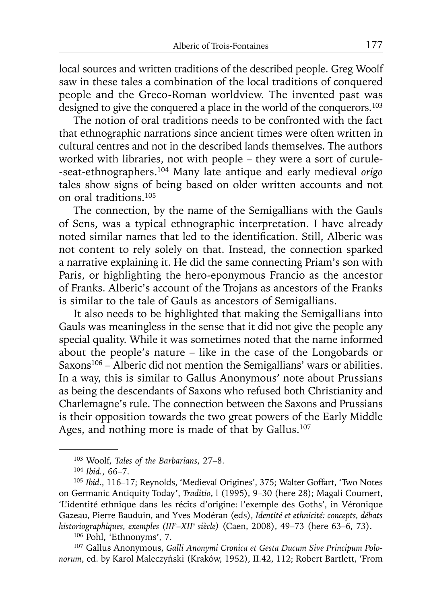local sources and written traditions of the described people. Greg Woolf saw in these tales a combination of the local traditions of conquered people and the Greco-Roman worldview. The invented past was designed to give the conquered a place in the world of the conquerors.<sup>103</sup>

The notion of oral traditions needs to be confronted with the fact that ethnographic narrations since ancient times were often written in cultural centres and not in the described lands themselves. The authors worked with libraries, not with people – they were a sort of curule- -seat-ethnographers.104 Many late antique and early medieval *origo* tales show signs of being based on older written accounts and not on oral traditions.105

The connection, by the name of the Semigallians with the Gauls of Sens, was a typical ethnographic interpretation. I have already noted similar names that led to the identification. Still, Alberic was not content to rely solely on that. Instead, the connection sparked a narrative explaining it. He did the same connecting Priam's son with Paris, or highlighting the hero-eponymous Francio as the ancestor of Franks. Alberic's account of the Trojans as ancestors of the Franks is similar to the tale of Gauls as ancestors of Semigallians.

It also needs to be highlighted that making the Semigallians into Gauls was meaningless in the sense that it did not give the people any special quality. While it was sometimes noted that the name informed about the people's nature – like in the case of the Longobards or Saxons<sup>106</sup> – Alberic did not mention the Semigallians' wars or abilities. In a way, this is similar to Gallus Anonymous' note about Prussians as being the descendants of Saxons who refused both Christianity and Charlemagne's rule. The connection between the Saxons and Prussians is their opposition towards the two great powers of the Early Middle Ages, and nothing more is made of that by Gallus.<sup>107</sup>

106 Pohl, 'Ethnonyms', 7.

107 Gallus Anonymous, *Galli Anonymi Cronica et Gesta Ducum Sive Principum Polonorum*, ed. by Karol Maleczyński (Kraków, 1952), II.42, 112; Robert Bartlett, 'From

<sup>103</sup> Woolf, *Tales of the Barbarians*, 27–8.

<sup>104</sup>*Ibid.*, 66–7.

<sup>105</sup>*Ibid*., 116–17; Reynolds, 'Medieval Origines', 375; Walter Goffart, 'Two Notes on Germanic Antiquity Today', *Traditio*, l (1995), 9–30 (here 28); Magali Coumert, 'L'identité ethnique dans les récits d'origine: l'exemple des Goths', in Véronique Gazeau, Pierre Bauduin, and Yves Modéran (eds), *Identité et ethnicité: concepts, débats historiographiques, exemples (IIIe –XIIe siècle)* (Caen, 2008), 49–73 (here 63–6, 73).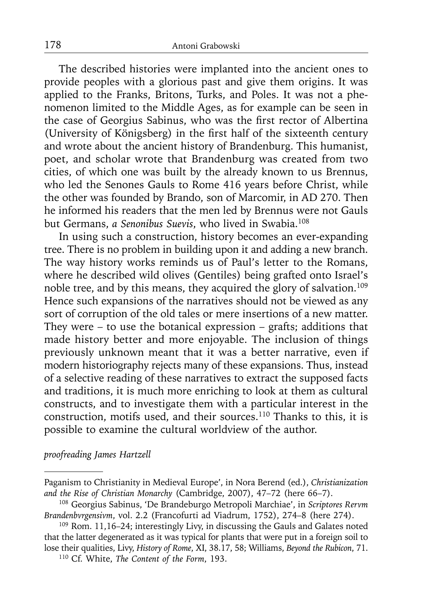The described histories were implanted into the ancient ones to provide peoples with a glorious past and give them origins. It was applied to the Franks, Britons, Turks, and Poles. It was not a phenomenon limited to the Middle Ages, as for example can be seen in the case of Georgius Sabinus, who was the first rector of Albertina (University of Königsberg) in the first half of the sixteenth century and wrote about the ancient history of Brandenburg. This humanist, poet, and scholar wrote that Brandenburg was created from two cities, of which one was built by the already known to us Brennus, who led the Senones Gauls to Rome 416 years before Christ, while the other was founded by Brando, son of Marcomir, in AD 270. Then he informed his readers that the men led by Brennus were not Gauls but Germans, *a Senonibus Suevis*, who lived in Swabia.108

In using such a construction, history becomes an ever-expanding tree. There is no problem in building upon it and adding a new branch. The way history works reminds us of Paul's letter to the Romans, where he described wild olives (Gentiles) being grafted onto Israel's noble tree, and by this means, they acquired the glory of salvation.109 Hence such expansions of the narratives should not be viewed as any sort of corruption of the old tales or mere insertions of a new matter. They were  $-$  to use the botanical expression  $-$  grafts; additions that made history better and more enjoyable. The inclusion of things previously unknown meant that it was a better narrative, even if modern historiography rejects many of these expansions. Thus, instead of a selective reading of these narratives to extract the supposed facts and traditions, it is much more enriching to look at them as cultural constructs, and to investigate them with a particular interest in the construction, motifs used, and their sources.110 Thanks to this, it is possible to examine the cultural worldview of the author.

*proofreading James Hartzell*

Paganism to Christianity in Medieval Europe', in Nora Berend (ed.), *Christianization and the Rise of Christian Monarchy* (Cambridge, 2007), 47–72 (here 66–7).

<sup>108</sup> Georgius Sabinus, 'De Brandeburgo Metropoli Marchiae', in *Scriptores Rervm Brandenbvrgensivm*, vol. 2.2 (Francofurti ad Viadrum, 1752), 274–8 (here 274).

<sup>109</sup> Rom. 11,16–24; interestingly Livy, in discussing the Gauls and Galates noted that the latter degenerated as it was typical for plants that were put in a foreign soil to lose their qualities, Livy, *History of Rome*, XI, 38.17, 58; Williams, *Beyond the Rubicon*, 71.

<sup>110</sup> Cf. White, *The Content of the Form*, 193.